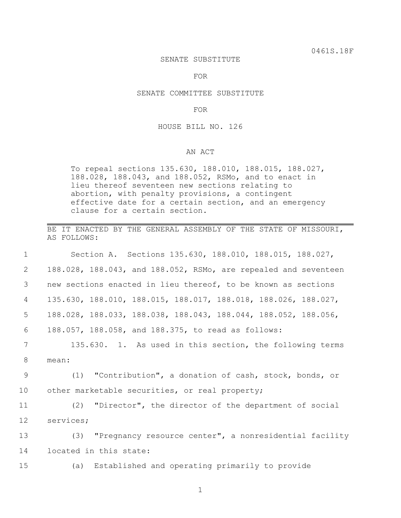## SENATE SUBSTITUTE

FOR

## SENATE COMMITTEE SUBSTITUTE

FOR

## HOUSE BILL NO. 126

## AN ACT

To repeal sections 135.630, 188.010, 188.015, 188.027, 188.028, 188.043, and 188.052, RSMo, and to enact in lieu thereof seventeen new sections relating to abortion, with penalty provisions, a contingent effective date for a certain section, and an emergency clause for a certain section.

BE IT ENACTED BY THE GENERAL ASSEMBLY OF THE STATE OF MISSOURI, AS FOLLOWS:

 Section A. Sections 135.630, 188.010, 188.015, 188.027, 188.028, 188.043, and 188.052, RSMo, are repealed and seventeen new sections enacted in lieu thereof, to be known as sections 135.630, 188.010, 188.015, 188.017, 188.018, 188.026, 188.027, 188.028, 188.033, 188.038, 188.043, 188.044, 188.052, 188.056, 188.057, 188.058, and 188.375, to read as follows: 135.630. 1. As used in this section, the following terms 8 mean: (1) "Contribution", a donation of cash, stock, bonds, or 10 other marketable securities, or real property; (2) "Director", the director of the department of social services; (3) "Pregnancy resource center", a nonresidential facility located in this state: (a) Established and operating primarily to provide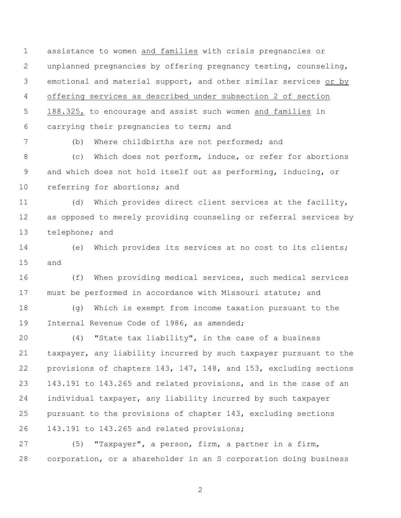assistance to women and families with crisis pregnancies or unplanned pregnancies by offering pregnancy testing, counseling, emotional and material support, and other similar services or by offering services as described under subsection 2 of section 188.325, to encourage and assist such women and families in carrying their pregnancies to term; and (b) Where childbirths are not performed; and (c) Which does not perform, induce, or refer for abortions

 and which does not hold itself out as performing, inducing, or referring for abortions; and

 (d) Which provides direct client services at the facility, as opposed to merely providing counseling or referral services by telephone; and

 (e) Which provides its services at no cost to its clients; and

 (f) When providing medical services, such medical services must be performed in accordance with Missouri statute; and

 (g) Which is exempt from income taxation pursuant to the Internal Revenue Code of 1986, as amended;

 (4) "State tax liability", in the case of a business taxpayer, any liability incurred by such taxpayer pursuant to the provisions of chapters 143, 147, 148, and 153, excluding sections 143.191 to 143.265 and related provisions, and in the case of an individual taxpayer, any liability incurred by such taxpayer pursuant to the provisions of chapter 143, excluding sections 143.191 to 143.265 and related provisions;

 (5) "Taxpayer", a person, firm, a partner in a firm, corporation, or a shareholder in an S corporation doing business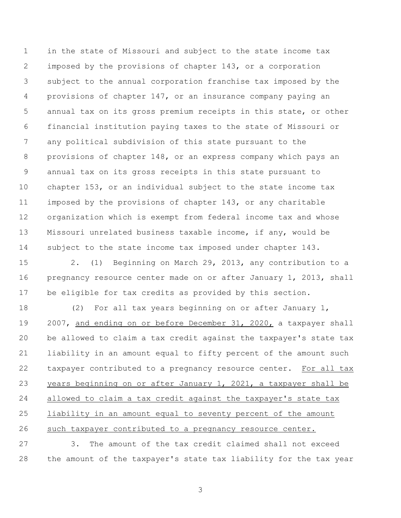in the state of Missouri and subject to the state income tax imposed by the provisions of chapter 143, or a corporation subject to the annual corporation franchise tax imposed by the provisions of chapter 147, or an insurance company paying an annual tax on its gross premium receipts in this state, or other financial institution paying taxes to the state of Missouri or any political subdivision of this state pursuant to the provisions of chapter 148, or an express company which pays an annual tax on its gross receipts in this state pursuant to chapter 153, or an individual subject to the state income tax imposed by the provisions of chapter 143, or any charitable organization which is exempt from federal income tax and whose Missouri unrelated business taxable income, if any, would be subject to the state income tax imposed under chapter 143.

 2. (1) Beginning on March 29, 2013, any contribution to a pregnancy resource center made on or after January 1, 2013, shall be eligible for tax credits as provided by this section.

 (2) For all tax years beginning on or after January 1, 19 2007, and ending on or before December 31, 2020, a taxpayer shall be allowed to claim a tax credit against the taxpayer's state tax liability in an amount equal to fifty percent of the amount such taxpayer contributed to a pregnancy resource center. For all tax years beginning on or after January 1, 2021, a taxpayer shall be allowed to claim a tax credit against the taxpayer's state tax liability in an amount equal to seventy percent of the amount such taxpayer contributed to a pregnancy resource center.

 3. The amount of the tax credit claimed shall not exceed the amount of the taxpayer's state tax liability for the tax year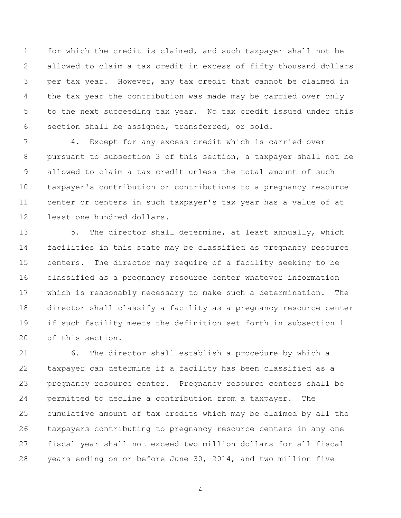for which the credit is claimed, and such taxpayer shall not be allowed to claim a tax credit in excess of fifty thousand dollars per tax year. However, any tax credit that cannot be claimed in the tax year the contribution was made may be carried over only to the next succeeding tax year. No tax credit issued under this section shall be assigned, transferred, or sold.

 4. Except for any excess credit which is carried over pursuant to subsection 3 of this section, a taxpayer shall not be allowed to claim a tax credit unless the total amount of such taxpayer's contribution or contributions to a pregnancy resource center or centers in such taxpayer's tax year has a value of at least one hundred dollars.

 5. The director shall determine, at least annually, which facilities in this state may be classified as pregnancy resource centers. The director may require of a facility seeking to be classified as a pregnancy resource center whatever information which is reasonably necessary to make such a determination. The director shall classify a facility as a pregnancy resource center if such facility meets the definition set forth in subsection 1 of this section.

 6. The director shall establish a procedure by which a taxpayer can determine if a facility has been classified as a pregnancy resource center. Pregnancy resource centers shall be permitted to decline a contribution from a taxpayer. The cumulative amount of tax credits which may be claimed by all the taxpayers contributing to pregnancy resource centers in any one fiscal year shall not exceed two million dollars for all fiscal years ending on or before June 30, 2014, and two million five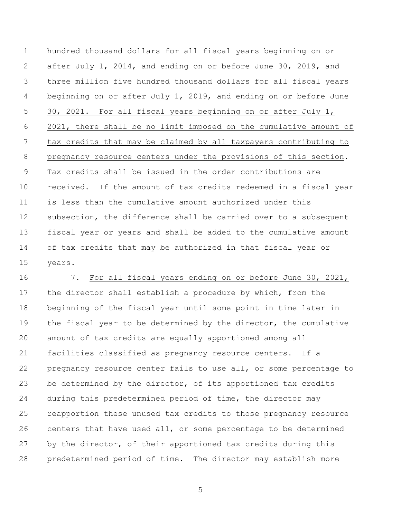hundred thousand dollars for all fiscal years beginning on or after July 1, 2014, and ending on or before June 30, 2019, and three million five hundred thousand dollars for all fiscal years beginning on or after July 1, 2019, and ending on or before June 30, 2021. For all fiscal years beginning on or after July 1, 2021, there shall be no limit imposed on the cumulative amount of tax credits that may be claimed by all taxpayers contributing to pregnancy resource centers under the provisions of this section. Tax credits shall be issued in the order contributions are received. If the amount of tax credits redeemed in a fiscal year is less than the cumulative amount authorized under this subsection, the difference shall be carried over to a subsequent fiscal year or years and shall be added to the cumulative amount of tax credits that may be authorized in that fiscal year or years.

 7. For all fiscal years ending on or before June 30, 2021, the director shall establish a procedure by which, from the beginning of the fiscal year until some point in time later in the fiscal year to be determined by the director, the cumulative amount of tax credits are equally apportioned among all facilities classified as pregnancy resource centers. If a pregnancy resource center fails to use all, or some percentage to 23 be determined by the director, of its apportioned tax credits during this predetermined period of time, the director may reapportion these unused tax credits to those pregnancy resource centers that have used all, or some percentage to be determined by the director, of their apportioned tax credits during this predetermined period of time. The director may establish more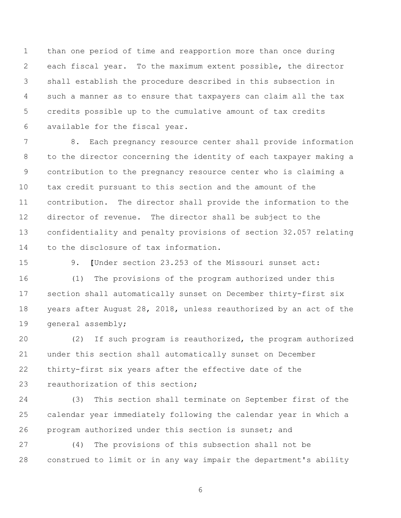than one period of time and reapportion more than once during each fiscal year. To the maximum extent possible, the director shall establish the procedure described in this subsection in such a manner as to ensure that taxpayers can claim all the tax credits possible up to the cumulative amount of tax credits available for the fiscal year.

 8. Each pregnancy resource center shall provide information to the director concerning the identity of each taxpayer making a contribution to the pregnancy resource center who is claiming a tax credit pursuant to this section and the amount of the contribution. The director shall provide the information to the director of revenue. The director shall be subject to the confidentiality and penalty provisions of section 32.057 relating to the disclosure of tax information.

9. **[**Under section 23.253 of the Missouri sunset act:

 (1) The provisions of the program authorized under this section shall automatically sunset on December thirty-first six years after August 28, 2018, unless reauthorized by an act of the general assembly;

 (2) If such program is reauthorized, the program authorized under this section shall automatically sunset on December thirty-first six years after the effective date of the 23 reauthorization of this section:

 (3) This section shall terminate on September first of the calendar year immediately following the calendar year in which a program authorized under this section is sunset; and

 (4) The provisions of this subsection shall not be construed to limit or in any way impair the department's ability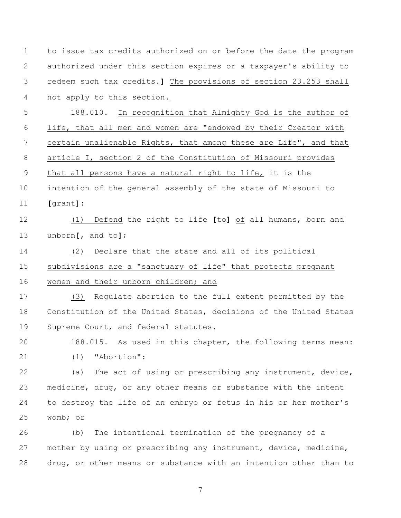to issue tax credits authorized on or before the date the program authorized under this section expires or a taxpayer's ability to redeem such tax credits.**]** The provisions of section 23.253 shall not apply to this section. 188.010. In recognition that Almighty God is the author of 6 life, that all men and women are "endowed by their Creator with certain unalienable Rights, that among these are Life", and that article I, section 2 of the Constitution of Missouri provides that all persons have a natural right to life, it is the intention of the general assembly of the state of Missouri to **[**grant**]**: (1) Defend the right to life **[**to**]** of all humans, born and unborn**[**, and to**]**; (2) Declare that the state and all of its political subdivisions are a "sanctuary of life" that protects pregnant women and their unborn children; and (3) Regulate abortion to the full extent permitted by the Constitution of the United States, decisions of the United States Supreme Court, and federal statutes. 188.015. As used in this chapter, the following terms mean: (1) "Abortion": (a) The act of using or prescribing any instrument, device, medicine, drug, or any other means or substance with the intent to destroy the life of an embryo or fetus in his or her mother's womb; or (b) The intentional termination of the pregnancy of a mother by using or prescribing any instrument, device, medicine, drug, or other means or substance with an intention other than to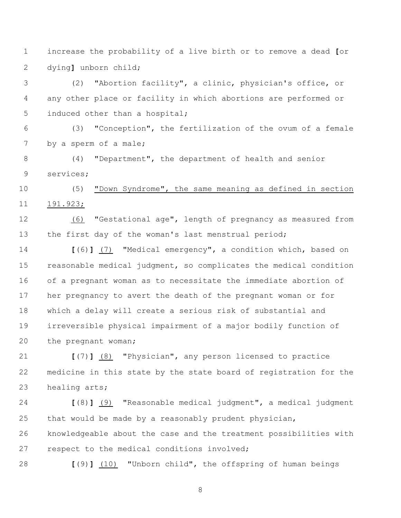increase the probability of a live birth or to remove a dead **[**or dying**]** unborn child;

 (2) "Abortion facility", a clinic, physician's office, or any other place or facility in which abortions are performed or 5 induced other than a hospital;

 (3) "Conception", the fertilization of the ovum of a female 7 by a sperm of a male;

 (4) "Department", the department of health and senior services;

 (5) "Down Syndrome", the same meaning as defined in section 191.923;

 (6) "Gestational age", length of pregnancy as measured from 13 the first day of the woman's last menstrual period;

 **[**(6)**]** (7) "Medical emergency", a condition which, based on reasonable medical judgment, so complicates the medical condition of a pregnant woman as to necessitate the immediate abortion of her pregnancy to avert the death of the pregnant woman or for which a delay will create a serious risk of substantial and irreversible physical impairment of a major bodily function of the pregnant woman;

 **[**(7)**]** (8) "Physician", any person licensed to practice medicine in this state by the state board of registration for the healing arts;

 **[**(8)**]** (9) "Reasonable medical judgment", a medical judgment that would be made by a reasonably prudent physician, knowledgeable about the case and the treatment possibilities with respect to the medical conditions involved;

**[**(9)**]** (10) "Unborn child", the offspring of human beings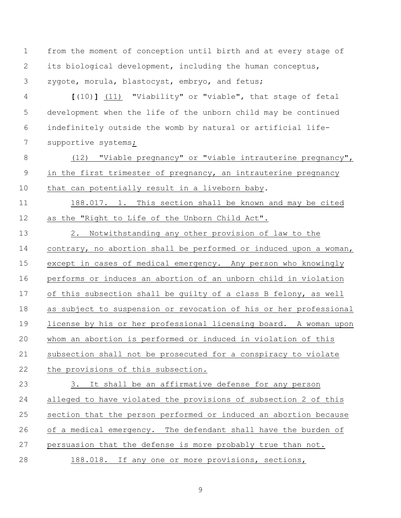from the moment of conception until birth and at every stage of its biological development, including the human conceptus, zygote, morula, blastocyst, embryo, and fetus;

 **[**(10)**]** (11) "Viability" or "viable", that stage of fetal development when the life of the unborn child may be continued indefinitely outside the womb by natural or artificial life-supportive systems;

 (12) "Viable pregnancy" or "viable intrauterine pregnancy", in the first trimester of pregnancy, an intrauterine pregnancy that can potentially result in a liveborn baby.

11 188.017. 1. This section shall be known and may be cited as the "Right to Life of the Unborn Child Act".

 2. Notwithstanding any other provision of law to the 14 contrary, no abortion shall be performed or induced upon a woman, 15 except in cases of medical emergency. Any person who knowingly performs or induces an abortion of an unborn child in violation of this subsection shall be guilty of a class B felony, as well as subject to suspension or revocation of his or her professional license by his or her professional licensing board. A woman upon whom an abortion is performed or induced in violation of this subsection shall not be prosecuted for a conspiracy to violate the provisions of this subsection.

 3. It shall be an affirmative defense for any person alleged to have violated the provisions of subsection 2 of this section that the person performed or induced an abortion because of a medical emergency. The defendant shall have the burden of persuasion that the defense is more probably true than not. 188.018. If any one or more provisions, sections,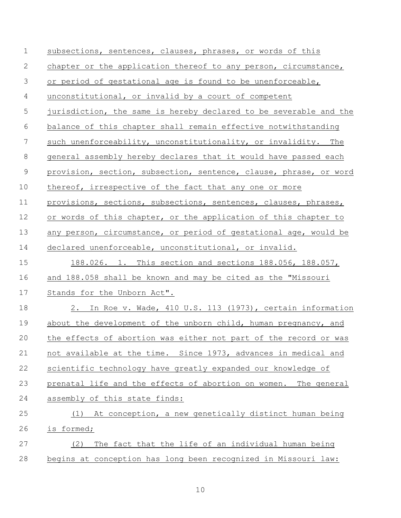| $\mathbf 1$    | subsections, sentences, clauses, phrases, or words of this        |
|----------------|-------------------------------------------------------------------|
| 2              | chapter or the application thereof to any person, circumstance,   |
| 3              | or period of gestational age is found to be unenforceable,        |
| $\overline{4}$ | unconstitutional, or invalid by a court of competent              |
| 5              | jurisdiction, the same is hereby declared to be severable and the |
| 6              | balance of this chapter shall remain effective notwithstanding    |
| 7              | such unenforceability, unconstitutionality, or invalidity. The    |
| $\,8\,$        | general assembly hereby declares that it would have passed each   |
| $\mathsf 9$    | provision, section, subsection, sentence, clause, phrase, or word |
| 10             | thereof, irrespective of the fact that any one or more            |
| 11             | provisions, sections, subsections, sentences, clauses, phrases,   |
| 12             | or words of this chapter, or the application of this chapter to   |
| 13             | any person, circumstance, or period of gestational age, would be  |
| 14             | declared unenforceable, unconstitutional, or invalid.             |
| 15             | 188.026. 1. This section and sections 188.056, 188.057,           |
| 16             | and 188.058 shall be known and may be cited as the "Missouri      |
| 17             | Stands for the Unborn Act".                                       |
| 18             | 2. In Roe v. Wade, 410 U.S. 113 (1973), certain information       |
| 19             | about the development of the unborn child, human pregnancy, and   |
| 20             | the effects of abortion was either not part of the record or was  |
| 21             | not available at the time. Since 1973, advances in medical and    |
| 22             | scientific technology have greatly expanded our knowledge of      |
| 23             | prenatal life and the effects of abortion on women. The general   |
| 24             | assembly of this state finds:                                     |
| 25             | (1) At conception, a new genetically distinct human being         |
| 26             | is formed;                                                        |
| 27             | The fact that the life of an individual human being<br>(2)        |
| 28             | begins at conception has long been recognized in Missouri law:    |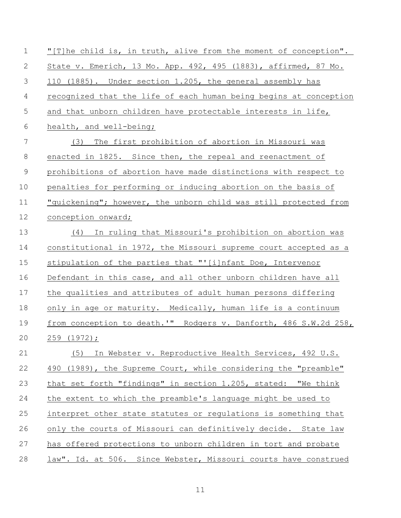| $\mathbf 1$  | "[T]he child is, in truth, alive from the moment of conception".  |
|--------------|-------------------------------------------------------------------|
| $\mathbf{2}$ | State v. Emerich, 13 Mo. App. 492, 495 (1883), affirmed, 87 Mo.   |
| 3            | 110 (1885). Under section 1.205, the general assembly has         |
| 4            | recognized that the life of each human being begins at conception |
| 5            | and that unborn children have protectable interests in life,      |
| 6            | health, and well-being;                                           |
| 7            | (3)<br>The first prohibition of abortion in Missouri was          |
| 8            | enacted in 1825. Since then, the repeal and reenactment of        |
| 9            | prohibitions of abortion have made distinctions with respect to   |
| 10           | penalties for performing or inducing abortion on the basis of     |
| 11           | "quickening"; however, the unborn child was still protected from  |
| 12           | conception onward;                                                |
| 13           | In ruling that Missouri's prohibition on abortion was<br>(4)      |
| 14           | constitutional in 1972, the Missouri supreme court accepted as a  |
| 15           | stipulation of the parties that "'[i]nfant Doe, Intervenor        |
| 16           | Defendant in this case, and all other unborn children have all    |
| 17           | the qualities and attributes of adult human persons differing     |
| 18           | only in age or maturity. Medically, human life is a continuum     |
| 19           | from conception to death."" Rodgers v. Danforth, 486 S.W.2d 258,  |
| 20           | $259(1972)$ ;                                                     |
| 21           | (5) In Webster v. Reproductive Health Services, 492 U.S.          |
| 22           | 490 (1989), the Supreme Court, while considering the "preamble"   |
| 23           | that set forth "findings" in section 1.205, stated: "We think     |
| 24           | the extent to which the preamble's language might be used to      |
| 25           | interpret other state statutes or regulations is something that   |
| 26           | only the courts of Missouri can definitively decide. State law    |
| 27           | has offered protections to unborn children in tort and probate    |
| 28           | law". Id. at 506. Since Webster, Missouri courts have construed   |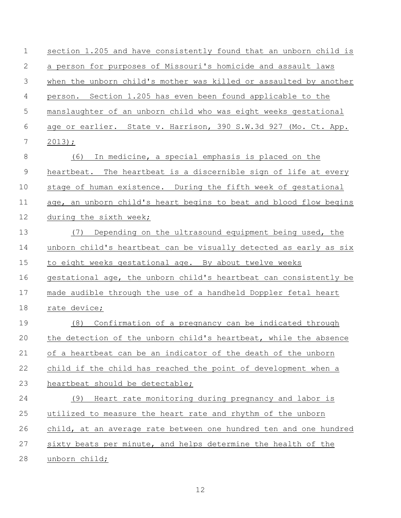section 1.205 and have consistently found that an unborn child is a person for purposes of Missouri's homicide and assault laws when the unborn child's mother was killed or assaulted by another person. Section 1.205 has even been found applicable to the manslaughter of an unborn child who was eight weeks gestational age or earlier. State v. Harrison, 390 S.W.3d 927 (Mo. Ct. App. 2013); (6) In medicine, a special emphasis is placed on the heartbeat. The heartbeat is a discernible sign of life at every stage of human existence. During the fifth week of gestational age, an unborn child's heart begins to beat and blood flow begins 12 during the sixth week; (7) Depending on the ultrasound equipment being used, the unborn child's heartbeat can be visually detected as early as six to eight weeks gestational age. By about twelve weeks gestational age, the unborn child's heartbeat can consistently be made audible through the use of a handheld Doppler fetal heart rate device; (8) Confirmation of a pregnancy can be indicated through the detection of the unborn child's heartbeat, while the absence of a heartbeat can be an indicator of the death of the unborn child if the child has reached the point of development when a 23 heartbeat should be detectable; (9) Heart rate monitoring during pregnancy and labor is 25 utilized to measure the heart rate and rhythm of the unborn child, at an average rate between one hundred ten and one hundred sixty beats per minute, and helps determine the health of the unborn child;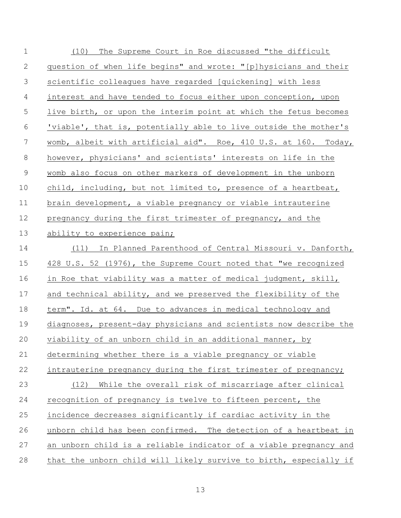| $\mathbf 1$  | (10)<br>The Supreme Court in Roe discussed "the difficult         |
|--------------|-------------------------------------------------------------------|
| $\mathbf{2}$ | question of when life begins" and wrote: "[p] hysicians and their |
| 3            | scientific colleagues have regarded [quickening] with less        |
| 4            | interest and have tended to focus either upon conception, upon    |
| 5            | live birth, or upon the interim point at which the fetus becomes  |
| 6            | viable', that is, potentially able to live outside the mother's   |
| 7            | womb, albeit with artificial aid". Roe, 410 U.S. at 160. Today,   |
| $\,8\,$      | however, physicians' and scientists' interests on life in the     |
| $\mathsf 9$  | womb also focus on other markers of development in the unborn     |
| 10           | child, including, but not limited to, presence of a heartbeat,    |
| 11           | brain development, a viable pregnancy or viable intrauterine      |
| 12           | pregnancy during the first trimester of pregnancy, and the        |
| 13           | ability to experience pain;                                       |
| 14           | In Planned Parenthood of Central Missouri v. Danforth,<br>(11)    |
| 15           | 428 U.S. 52 (1976), the Supreme Court noted that "we recognized   |
| 16           | in Roe that viability was a matter of medical judgment, skill,    |
| 17           | and technical ability, and we preserved the flexibility of the    |
| 18           | term". Id. at 64. Due to advances in medical technology and       |
| 19           | diagnoses, present-day physicians and scientists now describe the |
| 20           | viability of an unborn child in an additional manner, by          |
| 21           | determining whether there is a viable pregnancy or viable         |
| 22           | intrauterine pregnancy during the first trimester of pregnancy;   |
| 23           | (12)<br>While the overall risk of miscarriage after clinical      |
| 24           | recognition of pregnancy is twelve to fifteen percent, the        |
| 25           | incidence decreases significantly if cardiac activity in the      |
| 26           | unborn child has been confirmed. The detection of a heartbeat in  |
| 27           | an unborn child is a reliable indicator of a viable pregnancy and |
| 28           | that the unborn child will likely survive to birth, especially if |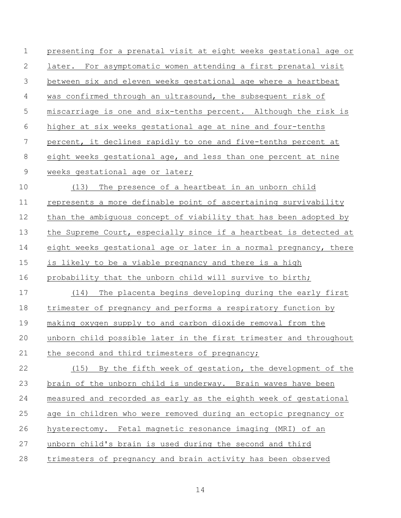presenting for a prenatal visit at eight weeks gestational age or later. For asymptomatic women attending a first prenatal visit between six and eleven weeks gestational age where a heartbeat was confirmed through an ultrasound, the subsequent risk of miscarriage is one and six-tenths percent. Although the risk is higher at six weeks gestational age at nine and four-tenths percent, it declines rapidly to one and five-tenths percent at eight weeks gestational age, and less than one percent at nine weeks gestational age or later; (13) The presence of a heartbeat in an unborn child represents a more definable point of ascertaining survivability than the ambiguous concept of viability that has been adopted by 13 the Supreme Court, especially since if a heartbeat is detected at 14 eight weeks gestational age or later in a normal pregnancy, there is likely to be a viable pregnancy and there is a high 16 probability that the unborn child will survive to birth; (14) The placenta begins developing during the early first trimester of pregnancy and performs a respiratory function by making oxygen supply to and carbon dioxide removal from the unborn child possible later in the first trimester and throughout 21 the second and third trimesters of pregnancy; (15) By the fifth week of gestation, the development of the brain of the unborn child is underway. Brain waves have been measured and recorded as early as the eighth week of gestational age in children who were removed during an ectopic pregnancy or hysterectomy. Fetal magnetic resonance imaging (MRI) of an unborn child's brain is used during the second and third trimesters of pregnancy and brain activity has been observed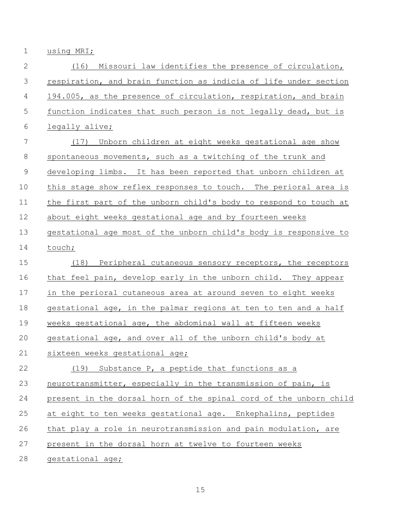1 using MRI;

| $\mathbf{2}$   | Missouri law identifies the presence of circulation,<br>(16)      |
|----------------|-------------------------------------------------------------------|
| $\mathfrak{Z}$ | respiration, and brain function as indicia of life under section  |
| $\overline{4}$ | 194.005, as the presence of circulation, respiration, and brain   |
| 5              | function indicates that such person is not legally dead, but is   |
| 6              | legally alive;                                                    |
| $\overline{7}$ | (17)<br>Unborn children at eight weeks gestational age show       |
| $8\,$          | spontaneous movements, such as a twitching of the trunk and       |
| $\mathcal{G}$  | developing limbs. It has been reported that unborn children at    |
| 10             | this stage show reflex responses to touch. The perioral area is   |
| 11             | the first part of the unborn child's body to respond to touch at  |
| 12             | about eight weeks gestational age and by fourteen weeks           |
| 13             | gestational age most of the unborn child's body is responsive to  |
| 14             | touch;                                                            |
| 15             | (18) Peripheral cutaneous sensory receptors, the receptors        |
| 16             | that feel pain, develop early in the unborn child. They appear    |
| 17             | in the perioral cutaneous area at around seven to eight weeks     |
| 18             | gestational age, in the palmar regions at ten to ten and a half   |
| 19             | weeks gestational age, the abdominal wall at fifteen weeks        |
| 20             | gestational age, and over all of the unborn child's body at       |
| 21             | sixteen weeks gestational age;                                    |
| 22             | Substance P, a peptide that functions as a<br>(19)                |
| 23             | neurotransmitter, especially in the transmission of pain, is      |
| 24             | present in the dorsal horn of the spinal cord of the unborn child |
| 25             | at eight to ten weeks gestational age. Enkephalins, peptides      |
| 26             | that play a role in neurotransmission and pain modulation, are    |
| 27             | present in the dorsal horn at twelve to fourteen weeks            |
| 28             | gestational age;                                                  |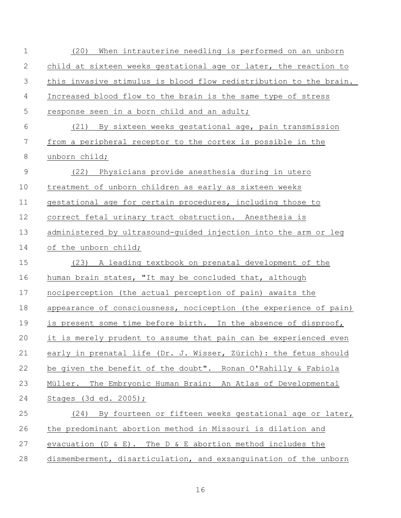| $\mathbf 1$ | When intrauterine needling is performed on an unborn<br>(20)       |
|-------------|--------------------------------------------------------------------|
| 2           | child at sixteen weeks gestational age or later, the reaction to   |
| 3           | this invasive stimulus is blood flow redistribution to the brain.  |
| 4           | Increased blood flow to the brain is the same type of stress       |
| 5           | response seen in a born child and an adult;                        |
| 6           | (21) By sixteen weeks gestational age, pain transmission           |
| 7           | from a peripheral receptor to the cortex is possible in the        |
| 8           | unborn child;                                                      |
| $\mathsf 9$ | (22) Physicians provide anesthesia during in utero                 |
| 10          | treatment of unborn children as early as sixteen weeks             |
| 11          | gestational age for certain procedures, including those to         |
| 12          | correct fetal urinary tract obstruction. Anesthesia is             |
| 13          | administered by ultrasound-quided injection into the arm or leg    |
| 14          | of the unborn child;                                               |
| 15          | (23) A leading textbook on prenatal development of the             |
| 16          | human brain states, "It may be concluded that, although            |
| 17          | nociperception (the actual perception of pain) awaits the          |
| 18          | appearance of consciousness, nociception (the experience of pain)  |
| 19          | is present some time before birth. In the absence of disproof,     |
| 20          | it is merely prudent to assume that pain can be experienced even   |
| 21          | early in prenatal life (Dr. J. Wisser, Zürich): the fetus should   |
| 22          | be given the benefit of the doubt". Ronan O'Rahilly & Fabiola      |
| 23          | Müller. The Embryonic Human Brain: An Atlas of Developmental       |
| 24          | Stages (3d ed. 2005);                                              |
| 25          | (24) By fourteen or fifteen weeks gestational age or later,        |
| 26          | the predominant abortion method in Missouri is dilation and        |
| 27          | evacuation ( $D \& E$ ). The $D \& E$ abortion method includes the |
| 28          | dismemberment, disarticulation, and exsanguination of the unborn   |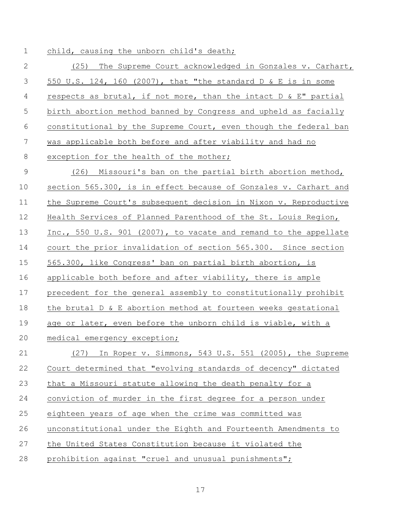1 child, causing the unborn child's death;

 (25) The Supreme Court acknowledged in Gonzales v. Carhart, 550 U.S. 124, 160 (2007), that "the standard D & E is in some respects as brutal, if not more, than the intact D & E" partial birth abortion method banned by Congress and upheld as facially constitutional by the Supreme Court, even though the federal ban was applicable both before and after viability and had no 8 exception for the health of the mother; (26) Missouri's ban on the partial birth abortion method, section 565.300, is in effect because of Gonzales v. Carhart and the Supreme Court's subsequent decision in Nixon v. Reproductive Health Services of Planned Parenthood of the St. Louis Region, 13 Inc., 550 U.S. 901 (2007), to vacate and remand to the appellate court the prior invalidation of section 565.300. Since section 565.300, like Congress' ban on partial birth abortion, is applicable both before and after viability, there is ample precedent for the general assembly to constitutionally prohibit the brutal D & E abortion method at fourteen weeks gestational age or later, even before the unborn child is viable, with a 20 medical emergency exception; (27) In Roper v. Simmons, 543 U.S. 551 (2005), the Supreme Court determined that "evolving standards of decency" dictated that a Missouri statute allowing the death penalty for a conviction of murder in the first degree for a person under eighteen years of age when the crime was committed was unconstitutional under the Eighth and Fourteenth Amendments to the United States Constitution because it violated the prohibition against "cruel and unusual punishments";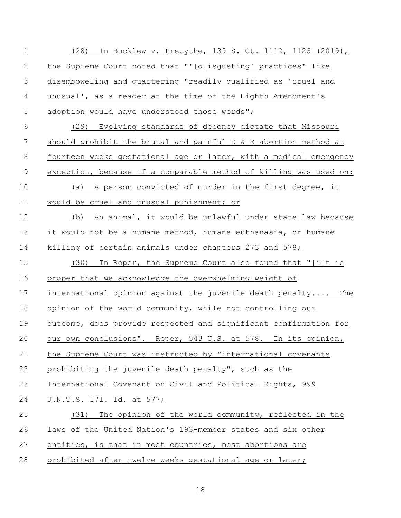| $\mathbf 1$    | (28) In Bucklew v. Precythe, 139 S. Ct. 1112, 1123 (2019),        |
|----------------|-------------------------------------------------------------------|
| $\mathbf{2}$   | the Supreme Court noted that "'[d]isgusting' practices" like      |
| 3              | disemboweling and quartering "readily qualified as 'cruel and     |
| $\overline{4}$ | unusual', as a reader at the time of the Eighth Amendment's       |
| 5              | adoption would have understood those words";                      |
| 6              | (29) Evolving standards of decency dictate that Missouri          |
| 7              | should prohibit the brutal and painful D & E abortion method at   |
| 8              | fourteen weeks gestational age or later, with a medical emergency |
| $\mathcal{G}$  | exception, because if a comparable method of killing was used on: |
| 10             | (a) A person convicted of murder in the first degree, it          |
| 11             | would be cruel and unusual punishment; or                         |
| 12             | An animal, it would be unlawful under state law because<br>(b)    |
| 13             | it would not be a humane method, humane euthanasia, or humane     |
| 14             | killing of certain animals under chapters 273 and 578;            |
| 15             | (30)<br>In Roper, the Supreme Court also found that "[i]t is      |
| 16             | proper that we acknowledge the overwhelming weight of             |
| 17             | international opinion against the juvenile death penalty The      |
| 18             | opinion of the world community, while not controlling our         |
| 19             | outcome, does provide respected and significant confirmation for  |
| 20             | our own conclusions". Roper, 543 U.S. at 578. In its opinion,     |
| 21             | the Supreme Court was instructed by "international covenants      |
| 22             | prohibiting the juvenile death penalty", such as the              |
| 23             | International Covenant on Civil and Political Rights, 999         |
| 24             | U.N.T.S. 171. Id. at 577;                                         |
| 25             | (31) The opinion of the world community, reflected in the         |
| 26             | laws of the United Nation's 193-member states and six other       |
| 27             | entities, is that in most countries, most abortions are           |
| 28             | prohibited after twelve weeks gestational age or later;           |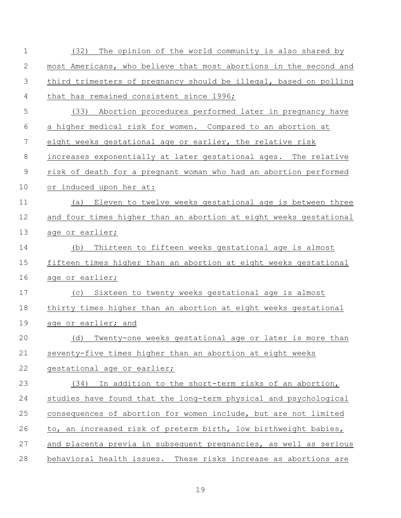| $\mathbf 1$ | The opinion of the world community is also shared by<br>(32)      |
|-------------|-------------------------------------------------------------------|
| 2           | most Americans, who believe that most abortions in the second and |
| 3           | third trimesters of pregnancy should be illegal, based on polling |
| 4           | that has remained consistent since 1996;                          |
| 5           | (33)<br>Abortion procedures performed later in pregnancy have     |
| 6           | a higher medical risk for women. Compared to an abortion at       |
| 7           | eight weeks gestational age or earlier, the relative risk         |
| $\,8\,$     | increases exponentially at later gestational ages. The relative   |
| $\mathsf 9$ | risk of death for a pregnant woman who had an abortion performed  |
| 10          | or induced upon her at:                                           |
| 11          | Eleven to twelve weeks gestational age is between three<br>(a)    |
| 12          | and four times higher than an abortion at eight weeks gestational |
| 13          | age or earlier;                                                   |
| 14          | Thirteen to fifteen weeks gestational age is almost<br>(b)        |
| 15          | fifteen times higher than an abortion at eight weeks gestational  |
| 16          | age or earlier;                                                   |
| 17          | Sixteen to twenty weeks gestational age is almost<br>(C)          |
| 18          | thirty times higher than an abortion at eight weeks gestational   |
| 19          | age or earlier; and                                               |
| 20          | Twenty-one weeks gestational age or later is more than<br>(d)     |
| 21          | seventy-five times higher than an abortion at eight weeks         |
| 22          | gestational age or earlier;                                       |
| 23          | In addition to the short-term risks of an abortion,<br>(34)       |
| 24          | studies have found that the long-term physical and psychological  |
| 25          | consequences of abortion for women include, but are not limited   |
| 26          | to, an increased risk of preterm birth, low birthweight babies,   |
| 27          | and placenta previa in subsequent pregnancies, as well as serious |
| 28          | behavioral health issues. These risks increase as abortions are   |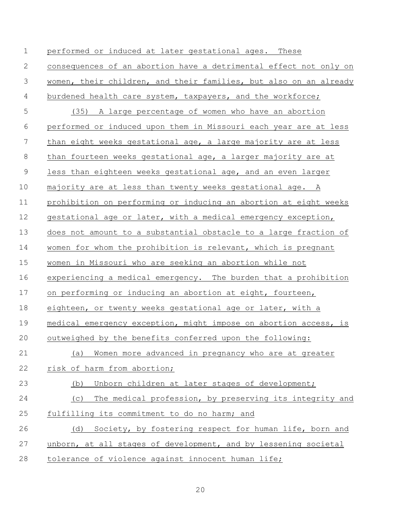| $\mathbf 1$    | performed or induced at later gestational ages. These             |
|----------------|-------------------------------------------------------------------|
| $\mathbf{2}$   | consequences of an abortion have a detrimental effect not only on |
| $\mathcal{S}$  | women, their children, and their families, but also on an already |
| $\overline{4}$ | burdened health care system, taxpayers, and the workforce;        |
| 5              | (35) A large percentage of women who have an abortion             |
| 6              | performed or induced upon them in Missouri each year are at less  |
| 7              | than eight weeks gestational age, a large majority are at less    |
| 8              | than fourteen weeks gestational age, a larger majority are at     |
| $\mathsf 9$    | less than eighteen weeks gestational age, and an even larger      |
| 10             | majority are at less than twenty weeks gestational age. A         |
| 11             | prohibition on performing or inducing an abortion at eight weeks  |
| 12             | gestational age or later, with a medical emergency exception,     |
| 13             | does not amount to a substantial obstacle to a large fraction of  |
| 14             | women for whom the prohibition is relevant, which is pregnant     |
| 15             | women in Missouri who are seeking an abortion while not           |
| 16             | experiencing a medical emergency. The burden that a prohibition   |
| 17             | on performing or inducing an abortion at eight, fourteen,         |
| 18             | eighteen, or twenty weeks gestational age or later, with a        |
| 19             | medical emergency exception, might impose on abortion access, is  |
| 20             | outweighed by the benefits conferred upon the following:          |
| 21             | Women more advanced in pregnancy who are at greater<br>(a)        |
| 22             | risk of harm from abortion;                                       |
| 23             | Unborn children at later stages of development;<br>(b)            |
| 24             | The medical profession, by preserving its integrity and<br>(C)    |
| 25             | fulfilling its commitment to do no harm; and                      |
| 26             | Society, by fostering respect for human life, born and<br>(d)     |
| 27             | unborn, at all stages of development, and by lessening societal   |
| 28             | tolerance of violence against innocent human life;                |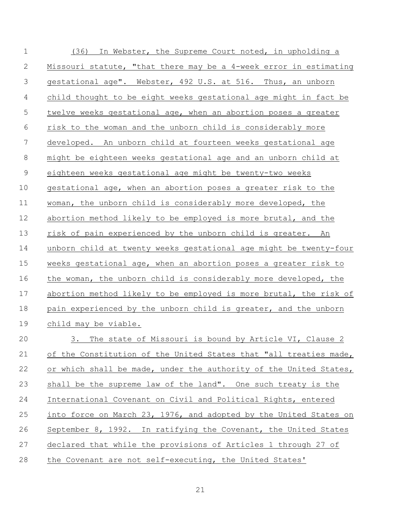| $\mathbf 1$    | (36) In Webster, the Supreme Court noted, in upholding a          |
|----------------|-------------------------------------------------------------------|
| $\mathbf{2}$   | Missouri statute, "that there may be a 4-week error in estimating |
| $\mathfrak{Z}$ | gestational age". Webster, 492 U.S. at 516. Thus, an unborn       |
| $\overline{4}$ | child thought to be eight weeks gestational age might in fact be  |
| 5              | twelve weeks gestational age, when an abortion poses a greater    |
| 6              | risk to the woman and the unborn child is considerably more       |
| $\overline{7}$ | developed. An unborn child at fourteen weeks gestational age      |
| 8              | might be eighteen weeks gestational age and an unborn child at    |
| $\mathsf 9$    | eighteen weeks gestational age might be twenty-two weeks          |
| 10             | gestational age, when an abortion poses a greater risk to the     |
| 11             | woman, the unborn child is considerably more developed, the       |
| 12             | abortion method likely to be employed is more brutal, and the     |
| 13             | risk of pain experienced by the unborn child is greater. An       |
| 14             | unborn child at twenty weeks gestational age might be twenty-four |
| 15             | weeks gestational age, when an abortion poses a greater risk to   |
| 16             | the woman, the unborn child is considerably more developed, the   |
| 17             | abortion method likely to be employed is more brutal, the risk of |
| 18             | pain experienced by the unborn child is greater, and the unborn   |
| 19             | child may be viable.                                              |
| 20             | The state of Missouri is bound by Article VI, Clause 2<br>3.      |
| 21             | of the Constitution of the United States that "all treaties made, |
| 22             | or which shall be made, under the authority of the United States, |
| 23             | shall be the supreme law of the land". One such treaty is the     |
| 24             | International Covenant on Civil and Political Rights, entered     |
| 25             | into force on March 23, 1976, and adopted by the United States on |
| 26             | September 8, 1992. In ratifying the Covenant, the United States   |
| 27             | declared that while the provisions of Articles 1 through 27 of    |
| 28             | the Covenant are not self-executing, the United States'           |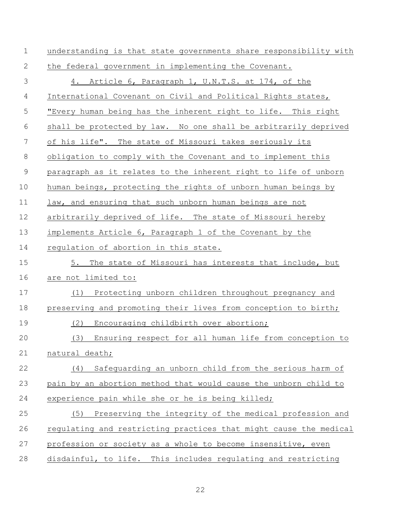| $\mathbf 1$ | understanding is that state governments share responsibility with |
|-------------|-------------------------------------------------------------------|
| 2           | the federal government in implementing the Covenant.              |
| 3           | 4. Article 6, Paragraph 1, U.N.T.S. at 174, of the                |
| 4           | International Covenant on Civil and Political Rights states,      |
| 5           | "Every human being has the inherent right to life. This right     |
| 6           | shall be protected by law. No one shall be arbitrarily deprived   |
| 7           | of his life". The state of Missouri takes seriously its           |
| 8           | obligation to comply with the Covenant and to implement this      |
| 9           | paragraph as it relates to the inherent right to life of unborn   |
| 10          | human beings, protecting the rights of unborn human beings by     |
| 11          | law, and ensuring that such unborn human beings are not           |
| 12          | arbitrarily deprived of life. The state of Missouri hereby        |
| 13          | implements Article 6, Paragraph 1 of the Covenant by the          |
| 14          | regulation of abortion in this state.                             |
| 15          | The state of Missouri has interests that include, but<br>5.       |
| 16          | are not limited to:                                               |
| 17          | Protecting unborn children throughout pregnancy and<br>(1)        |
| 18          | preserving and promoting their lives from conception to birth;    |
| 19          | Encouraging childbirth over abortion;<br>(2)                      |
| 20          | (3) Ensuring respect for all human life from conception to        |
| 21          | natural death;                                                    |
| 22          | (4) Safeguarding an unborn child from the serious harm of         |
| 23          | pain by an abortion method that would cause the unborn child to   |
| 24          | experience pain while she or he is being killed;                  |
| 25          | Preserving the integrity of the medical profession and<br>(5)     |
| 26          | regulating and restricting practices that might cause the medical |
| 27          | profession or society as a whole to become insensitive, even      |
| 28          | disdainful, to life. This includes regulating and restricting     |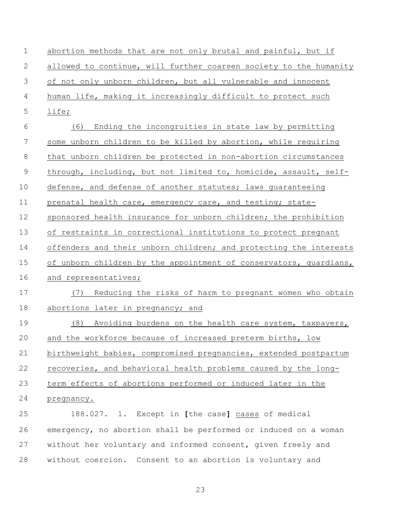abortion methods that are not only brutal and painful, but if allowed to continue, will further coarsen society to the humanity of not only unborn children, but all vulnerable and innocent human life, making it increasingly difficult to protect such life; (6) Ending the incongruities in state law by permitting some unborn children to be killed by abortion, while requiring that unborn children be protected in non-abortion circumstances through, including, but not limited to, homicide, assault, self- defense, and defense of another statutes; laws guaranteeing prenatal health care, emergency care, and testing; state- sponsored health insurance for unborn children; the prohibition of restraints in correctional institutions to protect pregnant 14 offenders and their unborn children; and protecting the interests 15 of unborn children by the appointment of conservators, quardians, and representatives; (7) Reducing the risks of harm to pregnant women who obtain 18 abortions later in pregnancy; and 19 (8) Avoiding burdens on the health care system, taxpayers, and the workforce because of increased preterm births, low birthweight babies, compromised pregnancies, extended postpartum recoveries, and behavioral health problems caused by the long- term effects of abortions performed or induced later in the pregnancy. 188.027. 1. Except in **[**the case**]** cases of medical emergency, no abortion shall be performed or induced on a woman without her voluntary and informed consent, given freely and without coercion. Consent to an abortion is voluntary and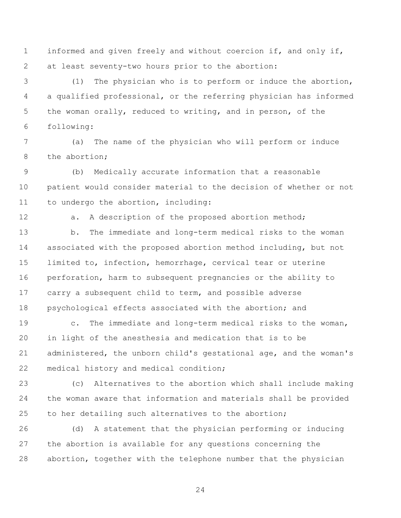informed and given freely and without coercion if, and only if, at least seventy-two hours prior to the abortion:

 (1) The physician who is to perform or induce the abortion, a qualified professional, or the referring physician has informed 5 the woman orally, reduced to writing, and in person, of the following:

 (a) The name of the physician who will perform or induce the abortion;

 (b) Medically accurate information that a reasonable patient would consider material to the decision of whether or not to undergo the abortion, including:

**a.** A description of the proposed abortion method;

 b. The immediate and long-term medical risks to the woman associated with the proposed abortion method including, but not limited to, infection, hemorrhage, cervical tear or uterine perforation, harm to subsequent pregnancies or the ability to carry a subsequent child to term, and possible adverse psychological effects associated with the abortion; and

 c. The immediate and long-term medical risks to the woman, in light of the anesthesia and medication that is to be administered, the unborn child's gestational age, and the woman's medical history and medical condition;

 (c) Alternatives to the abortion which shall include making the woman aware that information and materials shall be provided to her detailing such alternatives to the abortion;

 (d) A statement that the physician performing or inducing the abortion is available for any questions concerning the abortion, together with the telephone number that the physician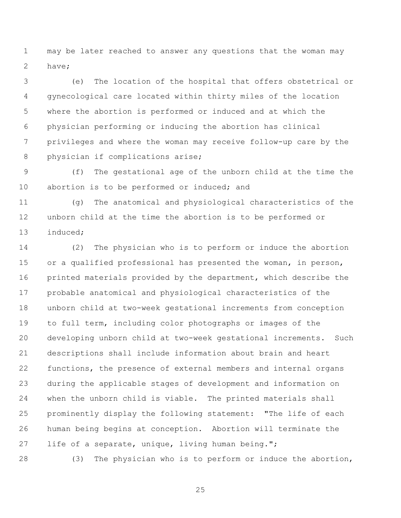may be later reached to answer any questions that the woman may have;

 (e) The location of the hospital that offers obstetrical or gynecological care located within thirty miles of the location where the abortion is performed or induced and at which the physician performing or inducing the abortion has clinical privileges and where the woman may receive follow-up care by the physician if complications arise;

 (f) The gestational age of the unborn child at the time the 10 abortion is to be performed or induced; and

 (g) The anatomical and physiological characteristics of the unborn child at the time the abortion is to be performed or induced;

 (2) The physician who is to perform or induce the abortion 15 or a qualified professional has presented the woman, in person, printed materials provided by the department, which describe the probable anatomical and physiological characteristics of the unborn child at two-week gestational increments from conception to full term, including color photographs or images of the developing unborn child at two-week gestational increments. Such descriptions shall include information about brain and heart functions, the presence of external members and internal organs during the applicable stages of development and information on when the unborn child is viable. The printed materials shall prominently display the following statement: "The life of each human being begins at conception. Abortion will terminate the life of a separate, unique, living human being.";

(3) The physician who is to perform or induce the abortion,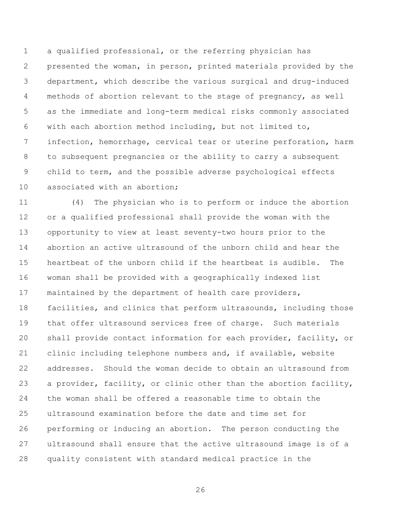a qualified professional, or the referring physician has presented the woman, in person, printed materials provided by the department, which describe the various surgical and drug-induced methods of abortion relevant to the stage of pregnancy, as well as the immediate and long-term medical risks commonly associated with each abortion method including, but not limited to, infection, hemorrhage, cervical tear or uterine perforation, harm to subsequent pregnancies or the ability to carry a subsequent child to term, and the possible adverse psychological effects 10 associated with an abortion:

 (4) The physician who is to perform or induce the abortion or a qualified professional shall provide the woman with the opportunity to view at least seventy-two hours prior to the abortion an active ultrasound of the unborn child and hear the heartbeat of the unborn child if the heartbeat is audible. The woman shall be provided with a geographically indexed list maintained by the department of health care providers, facilities, and clinics that perform ultrasounds, including those that offer ultrasound services free of charge. Such materials shall provide contact information for each provider, facility, or clinic including telephone numbers and, if available, website addresses. Should the woman decide to obtain an ultrasound from a provider, facility, or clinic other than the abortion facility, the woman shall be offered a reasonable time to obtain the ultrasound examination before the date and time set for performing or inducing an abortion. The person conducting the ultrasound shall ensure that the active ultrasound image is of a quality consistent with standard medical practice in the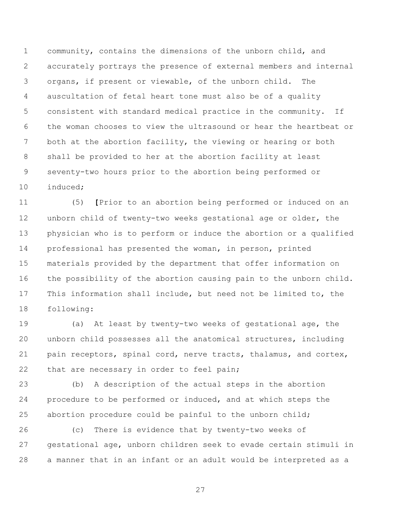community, contains the dimensions of the unborn child, and accurately portrays the presence of external members and internal organs, if present or viewable, of the unborn child. The auscultation of fetal heart tone must also be of a quality consistent with standard medical practice in the community. If the woman chooses to view the ultrasound or hear the heartbeat or both at the abortion facility, the viewing or hearing or both shall be provided to her at the abortion facility at least seventy-two hours prior to the abortion being performed or induced;

 (5) **[**Prior to an abortion being performed or induced on an unborn child of twenty-two weeks gestational age or older, the physician who is to perform or induce the abortion or a qualified professional has presented the woman, in person, printed materials provided by the department that offer information on the possibility of the abortion causing pain to the unborn child. This information shall include, but need not be limited to, the following:

 (a) At least by twenty-two weeks of gestational age, the unborn child possesses all the anatomical structures, including pain receptors, spinal cord, nerve tracts, thalamus, and cortex, 22 that are necessary in order to feel pain;

 (b) A description of the actual steps in the abortion procedure to be performed or induced, and at which steps the abortion procedure could be painful to the unborn child;

 (c) There is evidence that by twenty-two weeks of gestational age, unborn children seek to evade certain stimuli in a manner that in an infant or an adult would be interpreted as a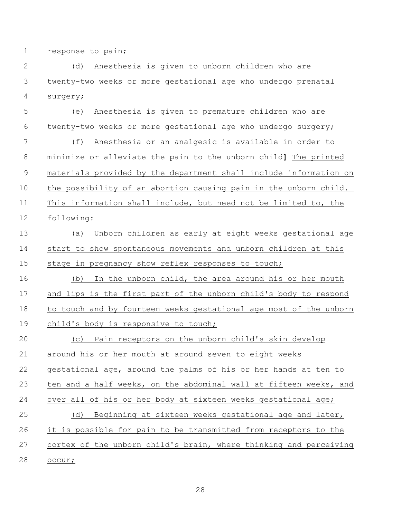response to pain;

 (d) Anesthesia is given to unborn children who are twenty-two weeks or more gestational age who undergo prenatal surgery;

 (e) Anesthesia is given to premature children who are twenty-two weeks or more gestational age who undergo surgery; (f) Anesthesia or an analgesic is available in order to minimize or alleviate the pain to the unborn child**]** The printed materials provided by the department shall include information on the possibility of an abortion causing pain in the unborn child. This information shall include, but need not be limited to, the following:

 (a) Unborn children as early at eight weeks gestational age 14 start to show spontaneous movements and unborn children at this 15 stage in pregnancy show reflex responses to touch;

 (b) In the unborn child, the area around his or her mouth and lips is the first part of the unborn child's body to respond to touch and by fourteen weeks gestational age most of the unborn child's body is responsive to touch;

 (c) Pain receptors on the unborn child's skin develop around his or her mouth at around seven to eight weeks gestational age, around the palms of his or her hands at ten to ten and a half weeks, on the abdominal wall at fifteen weeks, and over all of his or her body at sixteen weeks gestational age; (d) Beginning at sixteen weeks gestational age and later, it is possible for pain to be transmitted from receptors to the cortex of the unborn child's brain, where thinking and perceiving occur;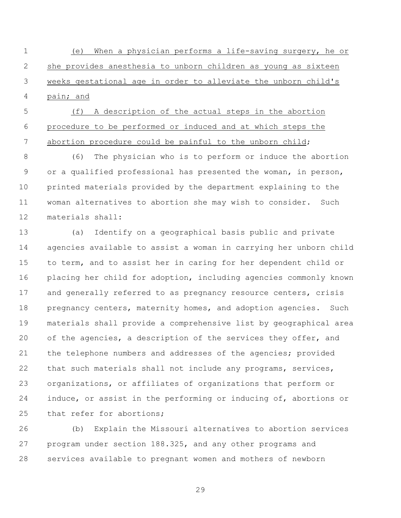(e) When a physician performs a life-saving surgery, he or she provides anesthesia to unborn children as young as sixteen weeks gestational age in order to alleviate the unborn child's pain; and

 (f) A description of the actual steps in the abortion procedure to be performed or induced and at which steps the abortion procedure could be painful to the unborn child;

 (6) The physician who is to perform or induce the abortion or a qualified professional has presented the woman, in person, printed materials provided by the department explaining to the woman alternatives to abortion she may wish to consider. Such materials shall:

 (a) Identify on a geographical basis public and private agencies available to assist a woman in carrying her unborn child to term, and to assist her in caring for her dependent child or placing her child for adoption, including agencies commonly known 17 and generally referred to as pregnancy resource centers, crisis 18 pregnancy centers, maternity homes, and adoption agencies. Such materials shall provide a comprehensive list by geographical area 20 of the agencies, a description of the services they offer, and the telephone numbers and addresses of the agencies; provided that such materials shall not include any programs, services, organizations, or affiliates of organizations that perform or induce, or assist in the performing or inducing of, abortions or that refer for abortions;

 (b) Explain the Missouri alternatives to abortion services program under section 188.325, and any other programs and services available to pregnant women and mothers of newborn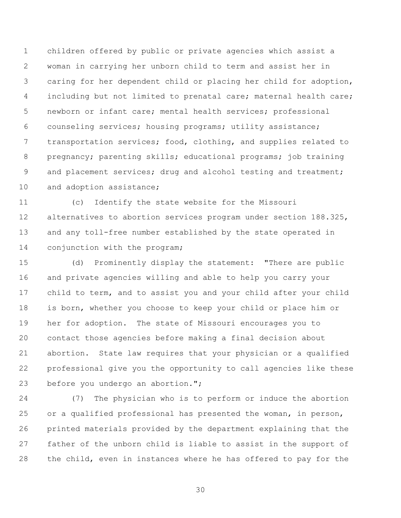children offered by public or private agencies which assist a woman in carrying her unborn child to term and assist her in caring for her dependent child or placing her child for adoption, including but not limited to prenatal care; maternal health care; newborn or infant care; mental health services; professional counseling services; housing programs; utility assistance; transportation services; food, clothing, and supplies related to 8 pregnancy; parenting skills; educational programs; job training 9 and placement services; drug and alcohol testing and treatment; 10 and adoption assistance;

 (c) Identify the state website for the Missouri alternatives to abortion services program under section 188.325, and any toll-free number established by the state operated in conjunction with the program;

 (d) Prominently display the statement: "There are public and private agencies willing and able to help you carry your child to term, and to assist you and your child after your child is born, whether you choose to keep your child or place him or her for adoption. The state of Missouri encourages you to contact those agencies before making a final decision about abortion. State law requires that your physician or a qualified professional give you the opportunity to call agencies like these before you undergo an abortion.";

 (7) The physician who is to perform or induce the abortion or a qualified professional has presented the woman, in person, printed materials provided by the department explaining that the father of the unborn child is liable to assist in the support of the child, even in instances where he has offered to pay for the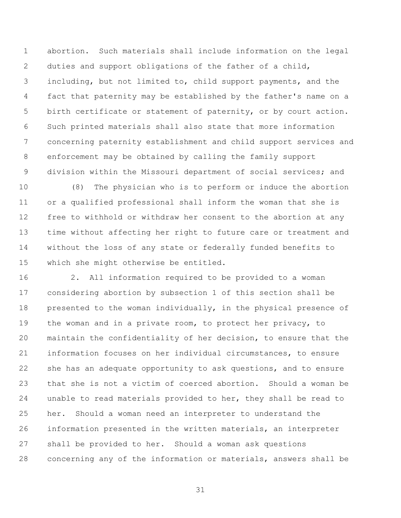abortion. Such materials shall include information on the legal duties and support obligations of the father of a child, including, but not limited to, child support payments, and the fact that paternity may be established by the father's name on a birth certificate or statement of paternity, or by court action. Such printed materials shall also state that more information concerning paternity establishment and child support services and enforcement may be obtained by calling the family support division within the Missouri department of social services; and

 (8) The physician who is to perform or induce the abortion or a qualified professional shall inform the woman that she is free to withhold or withdraw her consent to the abortion at any time without affecting her right to future care or treatment and without the loss of any state or federally funded benefits to which she might otherwise be entitled.

 2. All information required to be provided to a woman considering abortion by subsection 1 of this section shall be presented to the woman individually, in the physical presence of the woman and in a private room, to protect her privacy, to maintain the confidentiality of her decision, to ensure that the information focuses on her individual circumstances, to ensure she has an adequate opportunity to ask questions, and to ensure that she is not a victim of coerced abortion. Should a woman be unable to read materials provided to her, they shall be read to her. Should a woman need an interpreter to understand the information presented in the written materials, an interpreter shall be provided to her. Should a woman ask questions concerning any of the information or materials, answers shall be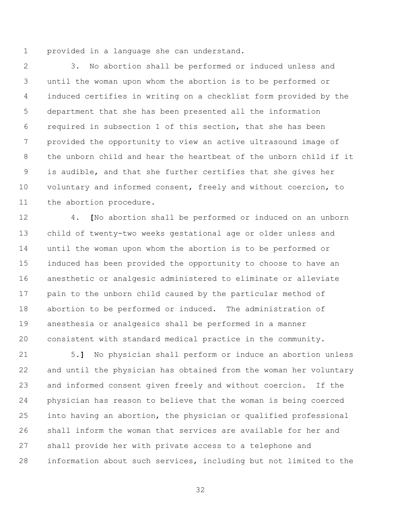provided in a language she can understand.

 3. No abortion shall be performed or induced unless and until the woman upon whom the abortion is to be performed or induced certifies in writing on a checklist form provided by the department that she has been presented all the information required in subsection 1 of this section, that she has been provided the opportunity to view an active ultrasound image of the unborn child and hear the heartbeat of the unborn child if it is audible, and that she further certifies that she gives her voluntary and informed consent, freely and without coercion, to the abortion procedure.

 4. **[**No abortion shall be performed or induced on an unborn child of twenty-two weeks gestational age or older unless and until the woman upon whom the abortion is to be performed or induced has been provided the opportunity to choose to have an anesthetic or analgesic administered to eliminate or alleviate pain to the unborn child caused by the particular method of abortion to be performed or induced. The administration of anesthesia or analgesics shall be performed in a manner consistent with standard medical practice in the community.

 5.**]** No physician shall perform or induce an abortion unless and until the physician has obtained from the woman her voluntary and informed consent given freely and without coercion. If the physician has reason to believe that the woman is being coerced into having an abortion, the physician or qualified professional shall inform the woman that services are available for her and shall provide her with private access to a telephone and information about such services, including but not limited to the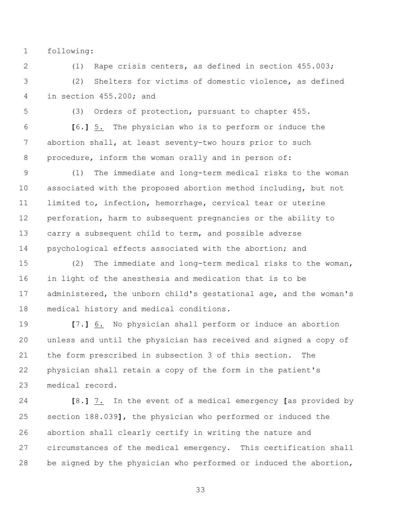following:

 (1) Rape crisis centers, as defined in section 455.003; (2) Shelters for victims of domestic violence, as defined in section 455.200; and

(3) Orders of protection, pursuant to chapter 455.

 **[**6.**]** 5. The physician who is to perform or induce the abortion shall, at least seventy-two hours prior to such procedure, inform the woman orally and in person of:

 (1) The immediate and long-term medical risks to the woman associated with the proposed abortion method including, but not limited to, infection, hemorrhage, cervical tear or uterine perforation, harm to subsequent pregnancies or the ability to carry a subsequent child to term, and possible adverse psychological effects associated with the abortion; and

 (2) The immediate and long-term medical risks to the woman, in light of the anesthesia and medication that is to be administered, the unborn child's gestational age, and the woman's medical history and medical conditions.

 **[**7.**]** 6. No physician shall perform or induce an abortion unless and until the physician has received and signed a copy of the form prescribed in subsection 3 of this section. The physician shall retain a copy of the form in the patient's medical record.

 **[**8.**]** 7. In the event of a medical emergency **[**as provided by section 188.039**]**, the physician who performed or induced the abortion shall clearly certify in writing the nature and circumstances of the medical emergency. This certification shall be signed by the physician who performed or induced the abortion,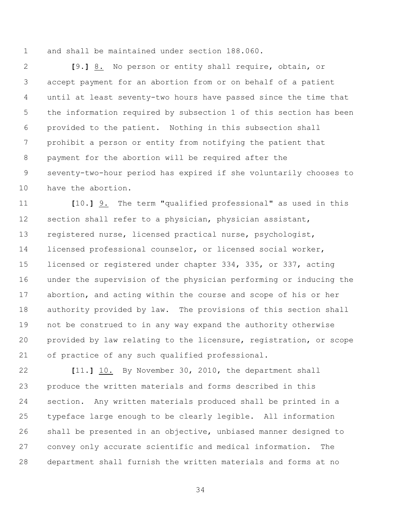and shall be maintained under section 188.060.

 **[**9.**]** 8. No person or entity shall require, obtain, or accept payment for an abortion from or on behalf of a patient until at least seventy-two hours have passed since the time that the information required by subsection 1 of this section has been provided to the patient. Nothing in this subsection shall prohibit a person or entity from notifying the patient that payment for the abortion will be required after the seventy-two-hour period has expired if she voluntarily chooses to have the abortion.

 **[**10.**]** 9. The term "qualified professional" as used in this section shall refer to a physician, physician assistant, registered nurse, licensed practical nurse, psychologist, licensed professional counselor, or licensed social worker, licensed or registered under chapter 334, 335, or 337, acting under the supervision of the physician performing or inducing the abortion, and acting within the course and scope of his or her authority provided by law. The provisions of this section shall not be construed to in any way expand the authority otherwise provided by law relating to the licensure, registration, or scope of practice of any such qualified professional.

 **[**11.**]** 10. By November 30, 2010, the department shall produce the written materials and forms described in this section. Any written materials produced shall be printed in a typeface large enough to be clearly legible. All information shall be presented in an objective, unbiased manner designed to convey only accurate scientific and medical information. The department shall furnish the written materials and forms at no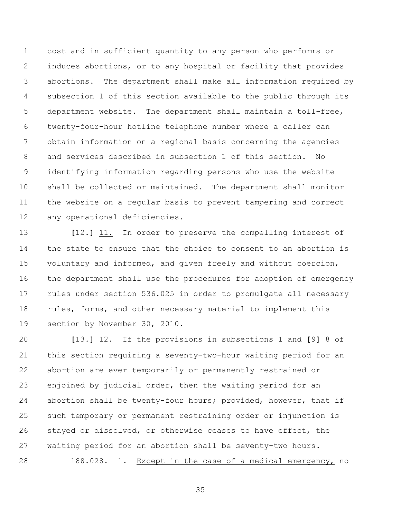cost and in sufficient quantity to any person who performs or induces abortions, or to any hospital or facility that provides abortions. The department shall make all information required by subsection 1 of this section available to the public through its department website. The department shall maintain a toll-free, twenty-four-hour hotline telephone number where a caller can obtain information on a regional basis concerning the agencies and services described in subsection 1 of this section. No identifying information regarding persons who use the website shall be collected or maintained. The department shall monitor the website on a regular basis to prevent tampering and correct any operational deficiencies.

 **[**12.**]** 11. In order to preserve the compelling interest of the state to ensure that the choice to consent to an abortion is voluntary and informed, and given freely and without coercion, the department shall use the procedures for adoption of emergency rules under section 536.025 in order to promulgate all necessary rules, forms, and other necessary material to implement this section by November 30, 2010.

 **[**13.**]** 12. If the provisions in subsections 1 and **[**9**]** 8 of this section requiring a seventy-two-hour waiting period for an abortion are ever temporarily or permanently restrained or enjoined by judicial order, then the waiting period for an abortion shall be twenty-four hours; provided, however, that if such temporary or permanent restraining order or injunction is stayed or dissolved, or otherwise ceases to have effect, the waiting period for an abortion shall be seventy-two hours.

188.028. 1. Except in the case of a medical emergency, no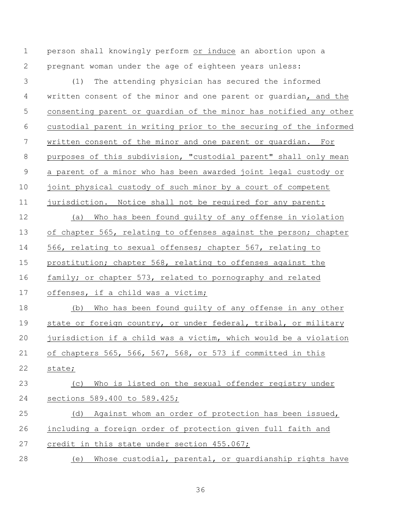person shall knowingly perform or induce an abortion upon a pregnant woman under the age of eighteen years unless:

 (1) The attending physician has secured the informed written consent of the minor and one parent or guardian, and the consenting parent or guardian of the minor has notified any other custodial parent in writing prior to the securing of the informed written consent of the minor and one parent or guardian. For purposes of this subdivision, "custodial parent" shall only mean a parent of a minor who has been awarded joint legal custody or joint physical custody of such minor by a court of competent 11 jurisdiction. Notice shall not be required for any parent: (a) Who has been found guilty of any offense in violation of chapter 565, relating to offenses against the person; chapter 566, relating to sexual offenses; chapter 567, relating to prostitution; chapter 568, relating to offenses against the family; or chapter 573, related to pornography and related offenses, if a child was a victim; (b) Who has been found guilty of any offense in any other 19 state or foreign country, or under federal, tribal, or military jurisdiction if a child was a victim, which would be a violation of chapters 565, 566, 567, 568, or 573 if committed in this state; (c) Who is listed on the sexual offender registry under sections 589.400 to 589.425; (d) Against whom an order of protection has been issued, including a foreign order of protection given full faith and credit in this state under section 455.067; 28 (e) Whose custodial, parental, or quardianship rights have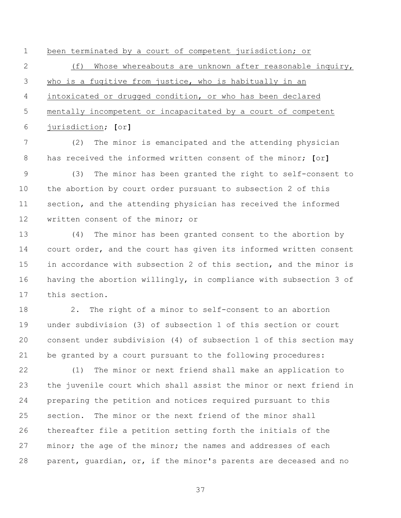been terminated by a court of competent jurisdiction; or (f) Whose whereabouts are unknown after reasonable inquiry, 3 who is a fugitive from justice, who is habitually in an intoxicated or drugged condition, or who has been declared mentally incompetent or incapacitated by a court of competent jurisdiction; **[**or**]**

 (2) The minor is emancipated and the attending physician has received the informed written consent of the minor; **[**or**]**

 (3) The minor has been granted the right to self-consent to the abortion by court order pursuant to subsection 2 of this section, and the attending physician has received the informed written consent of the minor; or

 (4) The minor has been granted consent to the abortion by 14 court order, and the court has given its informed written consent in accordance with subsection 2 of this section, and the minor is having the abortion willingly, in compliance with subsection 3 of this section.

 2. The right of a minor to self-consent to an abortion under subdivision (3) of subsection 1 of this section or court consent under subdivision (4) of subsection 1 of this section may be granted by a court pursuant to the following procedures:

 (1) The minor or next friend shall make an application to the juvenile court which shall assist the minor or next friend in preparing the petition and notices required pursuant to this section. The minor or the next friend of the minor shall thereafter file a petition setting forth the initials of the 27 minor; the age of the minor; the names and addresses of each parent, guardian, or, if the minor's parents are deceased and no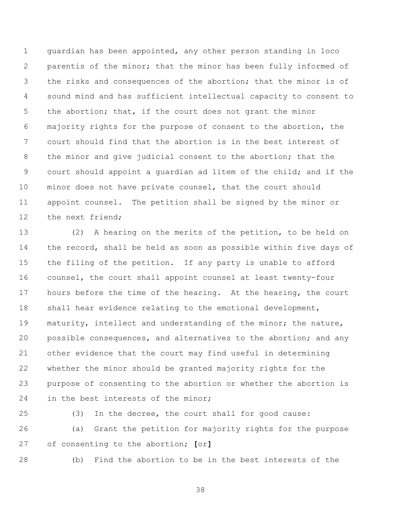guardian has been appointed, any other person standing in loco parentis of the minor; that the minor has been fully informed of the risks and consequences of the abortion; that the minor is of sound mind and has sufficient intellectual capacity to consent to 5 the abortion; that, if the court does not grant the minor majority rights for the purpose of consent to the abortion, the court should find that the abortion is in the best interest of the minor and give judicial consent to the abortion; that the court should appoint a guardian ad litem of the child; and if the minor does not have private counsel, that the court should appoint counsel. The petition shall be signed by the minor or 12 the next friend;

 (2) A hearing on the merits of the petition, to be held on 14 the record, shall be held as soon as possible within five days of the filing of the petition. If any party is unable to afford counsel, the court shall appoint counsel at least twenty-four hours before the time of the hearing. At the hearing, the court 18 shall hear evidence relating to the emotional development, maturity, intellect and understanding of the minor; the nature, possible consequences, and alternatives to the abortion; and any other evidence that the court may find useful in determining whether the minor should be granted majority rights for the purpose of consenting to the abortion or whether the abortion is 24 in the best interests of the minor:

 (3) In the decree, the court shall for good cause: (a) Grant the petition for majority rights for the purpose of consenting to the abortion; **[**or**]**

(b) Find the abortion to be in the best interests of the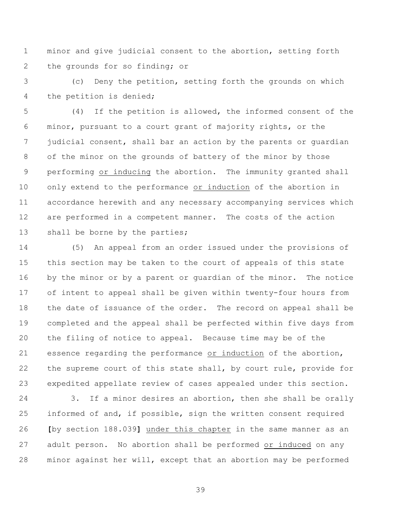minor and give judicial consent to the abortion, setting forth the grounds for so finding; or

 (c) Deny the petition, setting forth the grounds on which the petition is denied;

 (4) If the petition is allowed, the informed consent of the minor, pursuant to a court grant of majority rights, or the judicial consent, shall bar an action by the parents or guardian of the minor on the grounds of battery of the minor by those performing or inducing the abortion. The immunity granted shall only extend to the performance or induction of the abortion in accordance herewith and any necessary accompanying services which are performed in a competent manner. The costs of the action 13 shall be borne by the parties;

 (5) An appeal from an order issued under the provisions of this section may be taken to the court of appeals of this state by the minor or by a parent or guardian of the minor. The notice of intent to appeal shall be given within twenty-four hours from the date of issuance of the order. The record on appeal shall be completed and the appeal shall be perfected within five days from the filing of notice to appeal. Because time may be of the essence regarding the performance or induction of the abortion, the supreme court of this state shall, by court rule, provide for expedited appellate review of cases appealed under this section.

 3. If a minor desires an abortion, then she shall be orally informed of and, if possible, sign the written consent required **[**by section 188.039**]** under this chapter in the same manner as an adult person. No abortion shall be performed or induced on any minor against her will, except that an abortion may be performed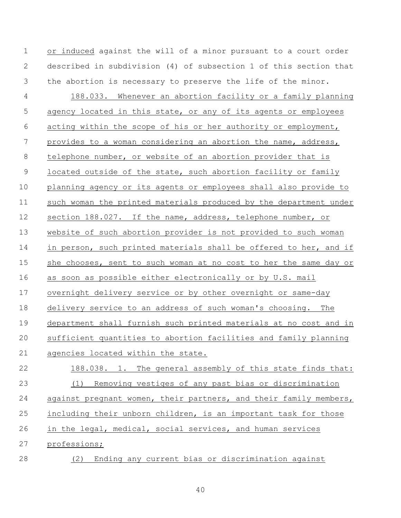or induced against the will of a minor pursuant to a court order described in subdivision (4) of subsection 1 of this section that the abortion is necessary to preserve the life of the minor.

 188.033. Whenever an abortion facility or a family planning agency located in this state, or any of its agents or employees acting within the scope of his or her authority or employment, 7 provides to a woman considering an abortion the name, address, telephone number, or website of an abortion provider that is located outside of the state, such abortion facility or family planning agency or its agents or employees shall also provide to such woman the printed materials produced by the department under section 188.027. If the name, address, telephone number, or website of such abortion provider is not provided to such woman 14 in person, such printed materials shall be offered to her, and if 15 she chooses, sent to such woman at no cost to her the same day or as soon as possible either electronically or by U.S. mail overnight delivery service or by other overnight or same-day delivery service to an address of such woman's choosing. The department shall furnish such printed materials at no cost and in sufficient quantities to abortion facilities and family planning agencies located within the state. 188.038. 1. The general assembly of this state finds that: (1) Removing vestiges of any past bias or discrimination against pregnant women, their partners, and their family members, including their unborn children, is an important task for those in the legal, medical, social services, and human services professions; (2) Ending any current bias or discrimination against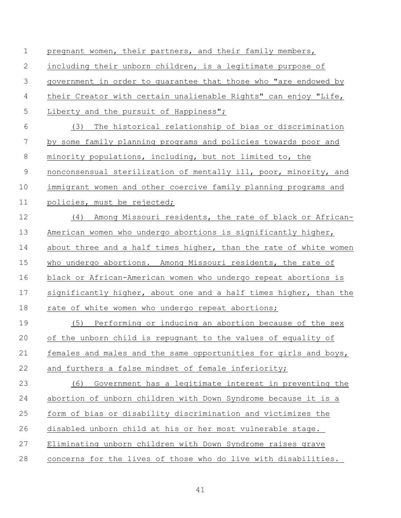pregnant women, their partners, and their family members, including their unborn children, is a legitimate purpose of government in order to guarantee that those who "are endowed by their Creator with certain unalienable Rights" can enjoy "Life, 5 Liberty and the pursuit of Happiness"; (3) The historical relationship of bias or discrimination by some family planning programs and policies towards poor and minority populations, including, but not limited to, the nonconsensual sterilization of mentally ill, poor, minority, and immigrant women and other coercive family planning programs and policies, must be rejected; (4) Among Missouri residents, the rate of black or African- American women who undergo abortions is significantly higher, 14 about three and a half times higher, than the rate of white women who undergo abortions. Among Missouri residents, the rate of black or African-American women who undergo repeat abortions is significantly higher, about one and a half times higher, than the 18 rate of white women who undergo repeat abortions; (5) Performing or inducing an abortion because of the sex of the unborn child is repugnant to the values of equality of females and males and the same opportunities for girls and boys, 22 and furthers a false mindset of female inferiority; (6) Government has a legitimate interest in preventing the abortion of unborn children with Down Syndrome because it is a form of bias or disability discrimination and victimizes the disabled unborn child at his or her most vulnerable stage. Eliminating unborn children with Down Syndrome raises grave concerns for the lives of those who do live with disabilities.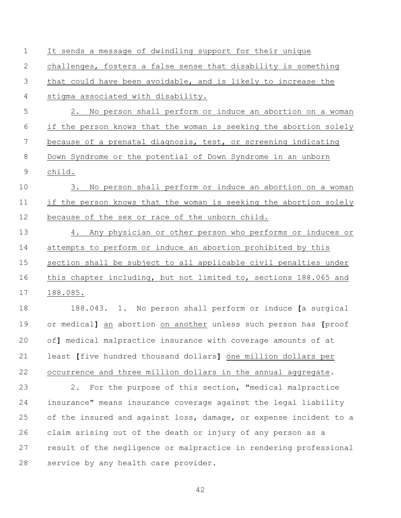| $\mathbf 1$  | It sends a message of dwindling support for their unique          |
|--------------|-------------------------------------------------------------------|
| $\mathbf{2}$ | challenges, fosters a false sense that disability is something    |
| 3            | that could have been avoidable, and is likely to increase the     |
| 4            | stigma associated with disability.                                |
| 5            | No person shall perform or induce an abortion on a woman<br>2.    |
| 6            | if the person knows that the woman is seeking the abortion solely |
| 7            | because of a prenatal diagnosis, test, or screening indicating    |
| $8\,$        | Down Syndrome or the potential of Down Syndrome in an unborn      |
| $\mathsf 9$  | $chi$ 1d.                                                         |
| 10           | 3.<br>No person shall perform or induce an abortion on a woman    |
| 11           | if the person knows that the woman is seeking the abortion solely |
| 12           | because of the sex or race of the unborn child.                   |
| 13           | 4. Any physician or other person who performs or induces or       |
| 14           | attempts to perform or induce an abortion prohibited by this      |
| 15           | section shall be subject to all applicable civil penalties under  |
| 16           | this chapter including, but not limited to, sections 188.065 and  |
| 17           | 188.085.                                                          |
| 18           | 188.043. 1. No person shall perform or induce [a surgical         |
| 19           | or medical] an abortion on another unless such person has [proof  |
| 20           | of] medical malpractice insurance with coverage amounts of at     |
| 21           | least [five hundred thousand dollars] one million dollars per     |
| 22           | occurrence and three million dollars in the annual aggregate.     |
| 23           | For the purpose of this section, "medical malpractice<br>2.       |
| 24           | insurance" means insurance coverage against the legal liability   |
| 25           | of the insured and against loss, damage, or expense incident to a |
| 26           | claim arising out of the death or injury of any person as a       |
| 27           | result of the negligence or malpractice in rendering professional |
| 28           | service by any health care provider.                              |
|              |                                                                   |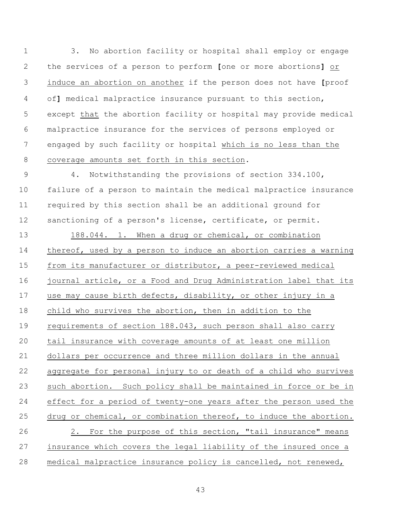3. No abortion facility or hospital shall employ or engage the services of a person to perform **[**one or more abortions**]** or induce an abortion on another if the person does not have **[**proof of**]** medical malpractice insurance pursuant to this section, except that the abortion facility or hospital may provide medical malpractice insurance for the services of persons employed or engaged by such facility or hospital which is no less than the coverage amounts set forth in this section.

 4. Notwithstanding the provisions of section 334.100, failure of a person to maintain the medical malpractice insurance required by this section shall be an additional ground for sanctioning of a person's license, certificate, or permit. 188.044. 1. When a drug or chemical, or combination

 thereof, used by a person to induce an abortion carries a warning from its manufacturer or distributor, a peer-reviewed medical journal article, or a Food and Drug Administration label that its use may cause birth defects, disability, or other injury in a child who survives the abortion, then in addition to the requirements of section 188.043, such person shall also carry tail insurance with coverage amounts of at least one million dollars per occurrence and three million dollars in the annual aggregate for personal injury to or death of a child who survives 23 such abortion. Such policy shall be maintained in force or be in effect for a period of twenty-one years after the person used the drug or chemical, or combination thereof, to induce the abortion. 2. For the purpose of this section, "tail insurance" means insurance which covers the legal liability of the insured once a medical malpractice insurance policy is cancelled, not renewed,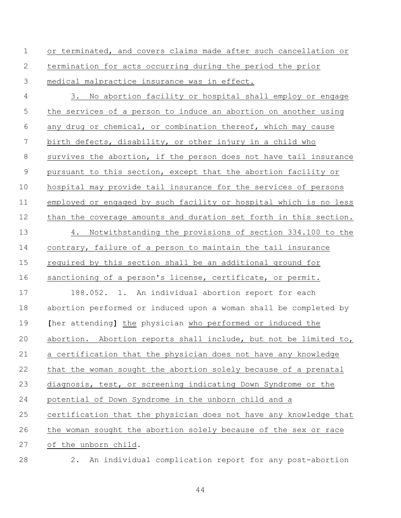or terminated, and covers claims made after such cancellation or termination for acts occurring during the period the prior medical malpractice insurance was in effect.

 3. No abortion facility or hospital shall employ or engage the services of a person to induce an abortion on another using any drug or chemical, or combination thereof, which may cause birth defects, disability, or other injury in a child who survives the abortion, if the person does not have tail insurance pursuant to this section, except that the abortion facility or hospital may provide tail insurance for the services of persons employed or engaged by such facility or hospital which is no less than the coverage amounts and duration set forth in this section. 4. Notwithstanding the provisions of section 334.100 to the contrary, failure of a person to maintain the tail insurance required by this section shall be an additional ground for sanctioning of a person's license, certificate, or permit. 188.052. 1. An individual abortion report for each abortion performed or induced upon a woman shall be completed by **[**her attending**]** the physician who performed or induced the abortion. Abortion reports shall include, but not be limited to, a certification that the physician does not have any knowledge that the woman sought the abortion solely because of a prenatal diagnosis, test, or screening indicating Down Syndrome or the potential of Down Syndrome in the unborn child and a certification that the physician does not have any knowledge that the woman sought the abortion solely because of the sex or race of the unborn child.

- 
- 2. An individual complication report for any post-abortion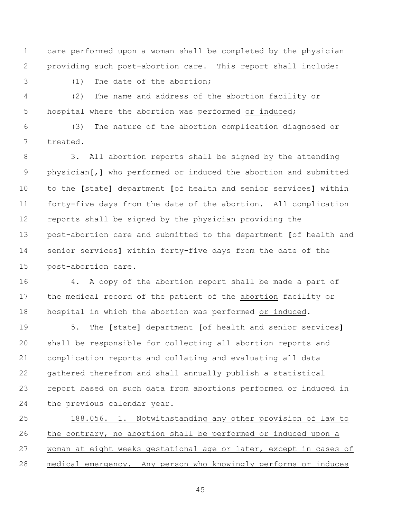care performed upon a woman shall be completed by the physician providing such post-abortion care. This report shall include:

(1) The date of the abortion;

 (2) The name and address of the abortion facility or 5 hospital where the abortion was performed or induced;

 (3) The nature of the abortion complication diagnosed or treated.

 3. All abortion reports shall be signed by the attending physician**[**,**]** who performed or induced the abortion and submitted to the **[**state**]** department **[**of health and senior services**]** within forty-five days from the date of the abortion. All complication reports shall be signed by the physician providing the post-abortion care and submitted to the department **[**of health and senior services**]** within forty-five days from the date of the post-abortion care.

 4. A copy of the abortion report shall be made a part of the medical record of the patient of the abortion facility or hospital in which the abortion was performed or induced.

 5. The **[**state**]** department **[**of health and senior services**]** shall be responsible for collecting all abortion reports and complication reports and collating and evaluating all data gathered therefrom and shall annually publish a statistical report based on such data from abortions performed or induced in the previous calendar year.

 188.056. 1. Notwithstanding any other provision of law to the contrary, no abortion shall be performed or induced upon a woman at eight weeks gestational age or later, except in cases of medical emergency. Any person who knowingly performs or induces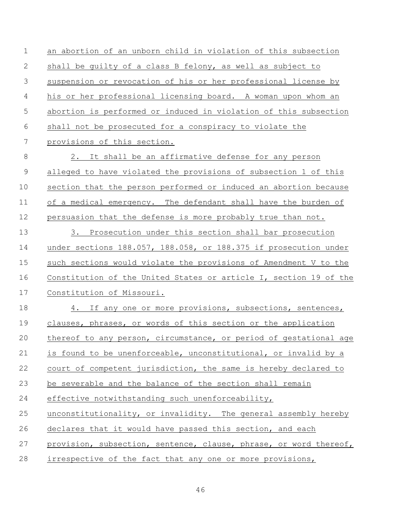an abortion of an unborn child in violation of this subsection shall be guilty of a class B felony, as well as subject to suspension or revocation of his or her professional license by his or her professional licensing board. A woman upon whom an abortion is performed or induced in violation of this subsection shall not be prosecuted for a conspiracy to violate the provisions of this section. 2. It shall be an affirmative defense for any person alleged to have violated the provisions of subsection 1 of this section that the person performed or induced an abortion because of a medical emergency. The defendant shall have the burden of 12 persuasion that the defense is more probably true than not. 3. Prosecution under this section shall bar prosecution under sections 188.057, 188.058, or 188.375 if prosecution under such sections would violate the provisions of Amendment V to the Constitution of the United States or article I, section 19 of the Constitution of Missouri. 18 4. If any one or more provisions, subsections, sentences, clauses, phrases, or words of this section or the application thereof to any person, circumstance, or period of gestational age is found to be unenforceable, unconstitutional, or invalid by a court of competent jurisdiction, the same is hereby declared to be severable and the balance of the section shall remain effective notwithstanding such unenforceability, unconstitutionality, or invalidity. The general assembly hereby declares that it would have passed this section, and each 27 provision, subsection, sentence, clause, phrase, or word thereof, irrespective of the fact that any one or more provisions,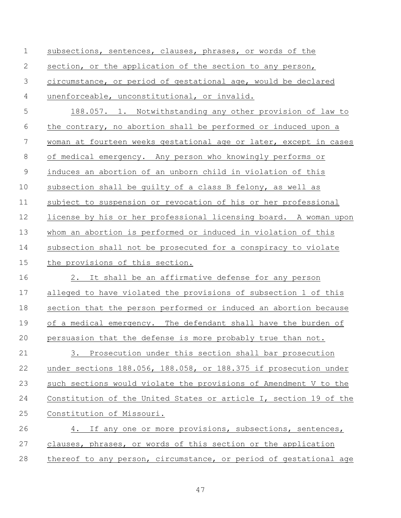| $\mathbf 1$    | subsections, sentences, clauses, phrases, or words of the         |
|----------------|-------------------------------------------------------------------|
| $\mathbf{2}$   | section, or the application of the section to any person,         |
| 3              | circumstance, or period of gestational age, would be declared     |
| 4              | unenforceable, unconstitutional, or invalid.                      |
| 5              | 188.057. 1. Notwithstanding any other provision of law to         |
| 6              | the contrary, no abortion shall be performed or induced upon a    |
| $\overline{7}$ | woman at fourteen weeks gestational age or later, except in cases |
| $8\,$          | of medical emergency. Any person who knowingly performs or        |
| $\mathsf 9$    | induces an abortion of an unborn child in violation of this       |
| 10             | subsection shall be guilty of a class B felony, as well as        |
| 11             | subject to suspension or revocation of his or her professional    |
| 12             | license by his or her professional licensing board. A woman upon  |
| 13             | whom an abortion is performed or induced in violation of this     |
| 14             | subsection shall not be prosecuted for a conspiracy to violate    |
| 15             | the provisions of this section.                                   |
| 16             | 2. It shall be an affirmative defense for any person              |
| 17             | alleged to have violated the provisions of subsection 1 of this   |
| 18             | section that the person performed or induced an abortion because  |
| 19             | of a medical emergency. The defendant shall have the burden of    |
| 20             | persuasion that the defense is more probably true than not.       |
| 21             | 3. Prosecution under this section shall bar prosecution           |
| 22             | under sections 188.056, 188.058, or 188.375 if prosecution under  |
| 23             | such sections would violate the provisions of Amendment V to the  |
| 24             | Constitution of the United States or article I, section 19 of the |
| 25             | Constitution of Missouri.                                         |
| 26             | If any one or more provisions, subsections, sentences,<br>4.      |
| 27             | clauses, phrases, or words of this section or the application     |
| 28             | thereof to any person, circumstance, or period of gestational age |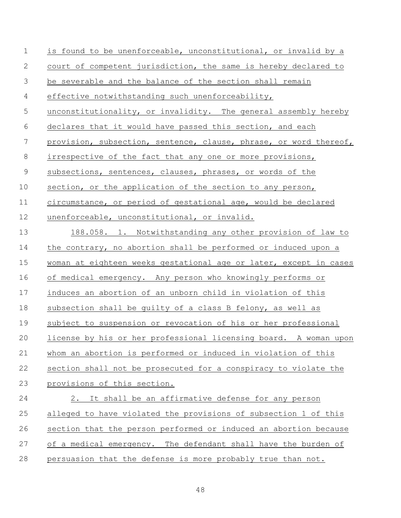| $\mathbf 1$    | is found to be unenforceable, unconstitutional, or invalid by a   |
|----------------|-------------------------------------------------------------------|
| $\mathbf{2}$   | court of competent jurisdiction, the same is hereby declared to   |
| 3              | be severable and the balance of the section shall remain          |
| $\overline{4}$ | effective notwithstanding such unenforceability,                  |
| 5              | unconstitutionality, or invalidity. The general assembly hereby   |
| 6              | declares that it would have passed this section, and each         |
| $\overline{7}$ | provision, subsection, sentence, clause, phrase, or word thereof, |
| $8\,$          | irrespective of the fact that any one or more provisions,         |
| $\mathcal{G}$  | subsections, sentences, clauses, phrases, or words of the         |
| 10             | section, or the application of the section to any person,         |
| 11             | circumstance, or period of gestational age, would be declared     |
| 12             | unenforceable, unconstitutional, or invalid.                      |
| 13             | 188.058. 1. Notwithstanding any other provision of law to         |
| 14             | the contrary, no abortion shall be performed or induced upon a    |
| 15             | woman at eighteen weeks gestational age or later, except in cases |
| 16             | of medical emergency. Any person who knowingly performs or        |
| 17             | induces an abortion of an unborn child in violation of this       |
| 18             | subsection shall be quilty of a class B felony, as well as        |
| 19             | subject to suspension or revocation of his or her professional    |
| 20             | license by his or her professional licensing board. A woman upon  |
| 21             | whom an abortion is performed or induced in violation of this     |
| 22             | section shall not be prosecuted for a conspiracy to violate the   |
| 23             | provisions of this section.                                       |
| 24             | It shall be an affirmative defense for any person<br>2.           |
| 25             | alleged to have violated the provisions of subsection 1 of this   |
| 26             | section that the person performed or induced an abortion because  |
| 27             | of a medical emergency. The defendant shall have the burden of    |
| 28             | persuasion that the defense is more probably true than not.       |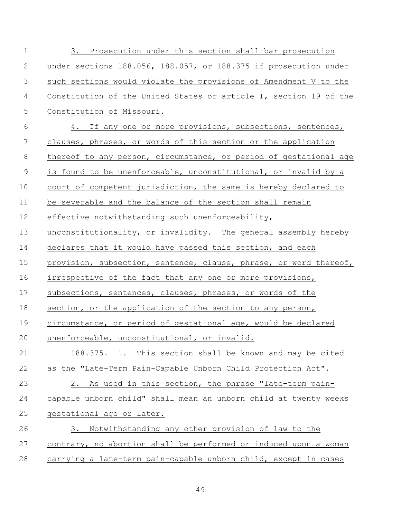| $\mathbf 1$  | 3. Prosecution under this section shall bar prosecution           |
|--------------|-------------------------------------------------------------------|
| $\mathbf{2}$ | under sections 188.056, 188.057, or 188.375 if prosecution under  |
| 3            | such sections would violate the provisions of Amendment V to the  |
| 4            | Constitution of the United States or article I, section 19 of the |
| 5            | Constitution of Missouri.                                         |
| 6            | 4. If any one or more provisions, subsections, sentences,         |
| 7            | clauses, phrases, or words of this section or the application     |
| $\,8\,$      | thereof to any person, circumstance, or period of gestational age |
| $\mathsf 9$  | is found to be unenforceable, unconstitutional, or invalid by a   |
| 10           | court of competent jurisdiction, the same is hereby declared to   |
| 11           | be severable and the balance of the section shall remain          |
| 12           | effective notwithstanding such unenforceability,                  |
| 13           | unconstitutionality, or invalidity. The general assembly hereby   |
| 14           | declares that it would have passed this section, and each         |
| 15           | provision, subsection, sentence, clause, phrase, or word thereof, |
| 16           | irrespective of the fact that any one or more provisions,         |
| 17           | subsections, sentences, clauses, phrases, or words of the         |
| 18           | section, or the application of the section to any person,         |
| 19           | circumstance, or period of gestational age, would be declared     |
| 20           | unenforceable, unconstitutional, or invalid.                      |
| 21           | 188.375. 1. This section shall be known and may be cited          |
| 22           | as the "Late-Term Pain-Capable Unborn Child Protection Act".      |
| 23           | 2. As used in this section, the phrase "late-term pain-           |
| 24           | capable unborn child" shall mean an unborn child at twenty weeks  |
| 25           | gestational age or later.                                         |
| 26           | 3. Notwithstanding any other provision of law to the              |
| 27           | contrary, no abortion shall be performed or induced upon a woman  |
| 28           | carrying a late-term pain-capable unborn child, except in cases   |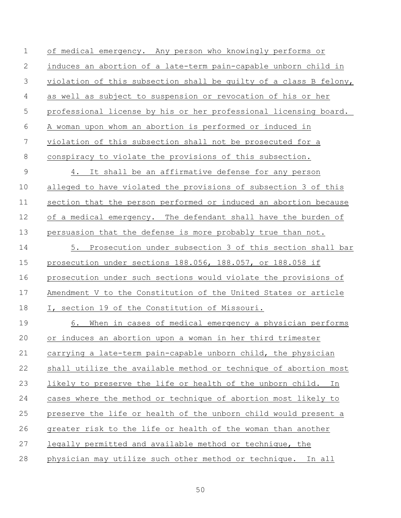of medical emergency. Any person who knowingly performs or induces an abortion of a late-term pain-capable unborn child in violation of this subsection shall be guilty of a class B felony, as well as subject to suspension or revocation of his or her professional license by his or her professional licensing board. A woman upon whom an abortion is performed or induced in violation of this subsection shall not be prosecuted for a conspiracy to violate the provisions of this subsection. 4. It shall be an affirmative defense for any person alleged to have violated the provisions of subsection 3 of this section that the person performed or induced an abortion because of a medical emergency. The defendant shall have the burden of 13 persuasion that the defense is more probably true than not. 5. Prosecution under subsection 3 of this section shall bar prosecution under sections 188.056, 188.057, or 188.058 if prosecution under such sections would violate the provisions of Amendment V to the Constitution of the United States or article I, section 19 of the Constitution of Missouri. 6. When in cases of medical emergency a physician performs or induces an abortion upon a woman in her third trimester carrying a late-term pain-capable unborn child, the physician shall utilize the available method or technique of abortion most likely to preserve the life or health of the unborn child. In cases where the method or technique of abortion most likely to preserve the life or health of the unborn child would present a greater risk to the life or health of the woman than another legally permitted and available method or technique, the physician may utilize such other method or technique. In all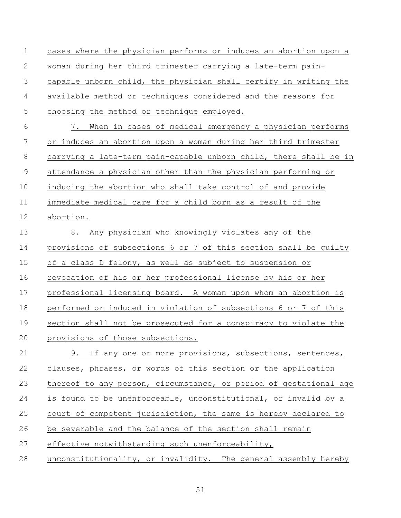cases where the physician performs or induces an abortion upon a woman during her third trimester carrying a late-term pain- capable unborn child, the physician shall certify in writing the available method or techniques considered and the reasons for choosing the method or technique employed. 7. When in cases of medical emergency a physician performs or induces an abortion upon a woman during her third trimester carrying a late-term pain-capable unborn child, there shall be in attendance a physician other than the physician performing or inducing the abortion who shall take control of and provide

immediate medical care for a child born as a result of the

abortion.

 8. Any physician who knowingly violates any of the provisions of subsections 6 or 7 of this section shall be guilty of a class D felony, as well as subject to suspension or revocation of his or her professional license by his or her professional licensing board. A woman upon whom an abortion is performed or induced in violation of subsections 6 or 7 of this 19 section shall not be prosecuted for a conspiracy to violate the provisions of those subsections.

21 9. If any one or more provisions, subsections, sentences, clauses, phrases, or words of this section or the application thereof to any person, circumstance, or period of gestational age is found to be unenforceable, unconstitutional, or invalid by a court of competent jurisdiction, the same is hereby declared to be severable and the balance of the section shall remain effective notwithstanding such unenforceability, unconstitutionality, or invalidity. The general assembly hereby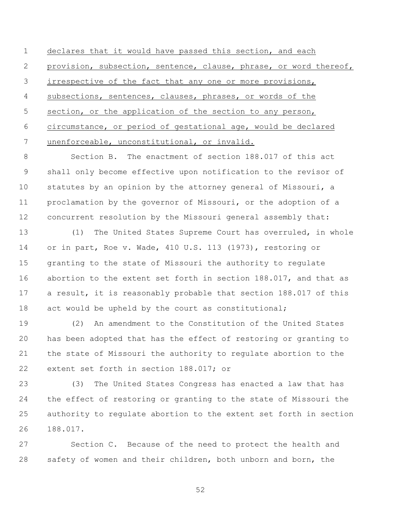1 declares that it would have passed this section, and each 2 provision, subsection, sentence, clause, phrase, or word thereof, irrespective of the fact that any one or more provisions, subsections, sentences, clauses, phrases, or words of the 5 section, or the application of the section to any person, circumstance, or period of gestational age, would be declared unenforceable, unconstitutional, or invalid.

 Section B. The enactment of section 188.017 of this act shall only become effective upon notification to the revisor of statutes by an opinion by the attorney general of Missouri, a proclamation by the governor of Missouri, or the adoption of a concurrent resolution by the Missouri general assembly that:

 (1) The United States Supreme Court has overruled, in whole or in part, Roe v. Wade, 410 U.S. 113 (1973), restoring or granting to the state of Missouri the authority to regulate abortion to the extent set forth in section 188.017, and that as a result, it is reasonably probable that section 188.017 of this 18 act would be upheld by the court as constitutional;

 (2) An amendment to the Constitution of the United States has been adopted that has the effect of restoring or granting to the state of Missouri the authority to regulate abortion to the extent set forth in section 188.017; or

 (3) The United States Congress has enacted a law that has the effect of restoring or granting to the state of Missouri the authority to regulate abortion to the extent set forth in section 188.017.

 Section C. Because of the need to protect the health and safety of women and their children, both unborn and born, the